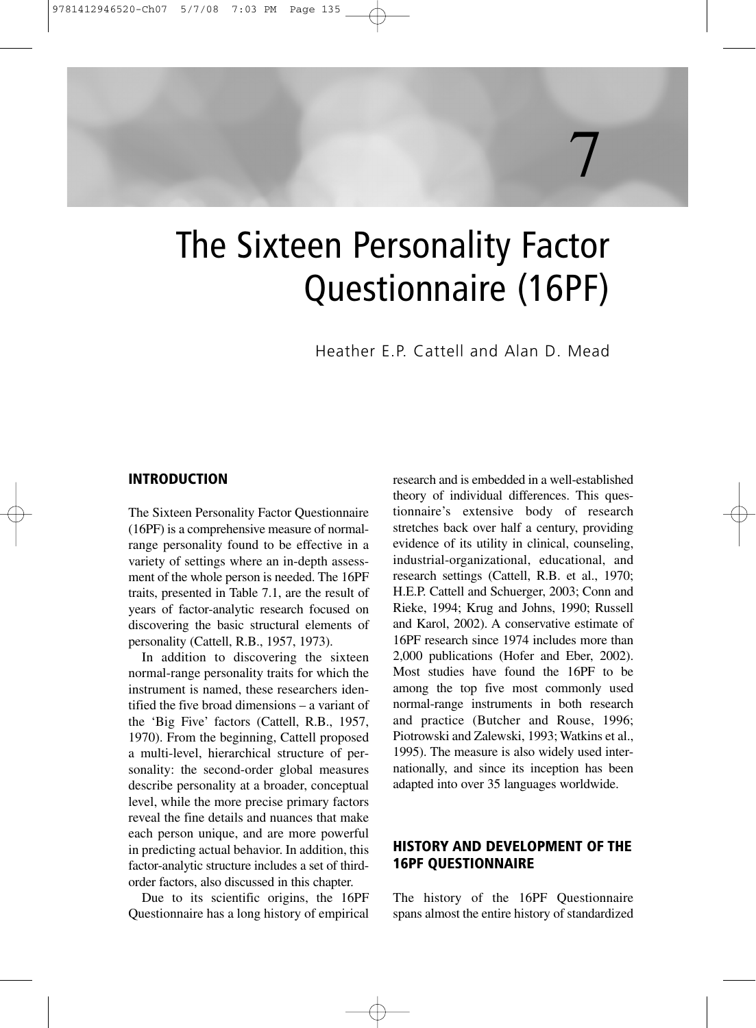# The Sixteen Personality Factor Questionnaire (16PF)

Heather E.P. Cattell and Alan D. Mead

7

#### **INTRODUCTION**

The Sixteen Personality Factor Questionnaire (16PF) is a comprehensive measure of normalrange personality found to be effective in a variety of settings where an in-depth assessment of the whole person is needed. The 16PF traits, presented in Table 7.1, are the result of years of factor-analytic research focused on discovering the basic structural elements of personality (Cattell, R.B., 1957, 1973).

In addition to discovering the sixteen normal-range personality traits for which the instrument is named, these researchers identified the five broad dimensions – a variant of the 'Big Five' factors (Cattell, R.B., 1957, 1970). From the beginning, Cattell proposed a multi-level, hierarchical structure of personality: the second-order global measures describe personality at a broader, conceptual level, while the more precise primary factors reveal the fine details and nuances that make each person unique, and are more powerful in predicting actual behavior. In addition, this factor-analytic structure includes a set of thirdorder factors, also discussed in this chapter.

Due to its scientific origins, the 16PF Questionnaire has a long history of empirical research and is embedded in a well-established theory of individual differences. This questionnaire's extensive body of research stretches back over half a century, providing evidence of its utility in clinical, counseling, industrial-organizational, educational, and research settings (Cattell, R.B. et al., 1970; H.E.P. Cattell and Schuerger, 2003; Conn and Rieke, 1994; Krug and Johns, 1990; Russell and Karol, 2002). A conservative estimate of 16PF research since 1974 includes more than 2,000 publications (Hofer and Eber, 2002). Most studies have found the 16PF to be among the top five most commonly used normal-range instruments in both research and practice (Butcher and Rouse, 1996; Piotrowski and Zalewski, 1993; Watkins et al., 1995). The measure is also widely used internationally, and since its inception has been adapted into over 35 languages worldwide.

# **HISTORY AND DEVELOPMENT OF THE 16PF QUESTIONNAIRE**

The history of the 16PF Questionnaire spans almost the entire history of standardized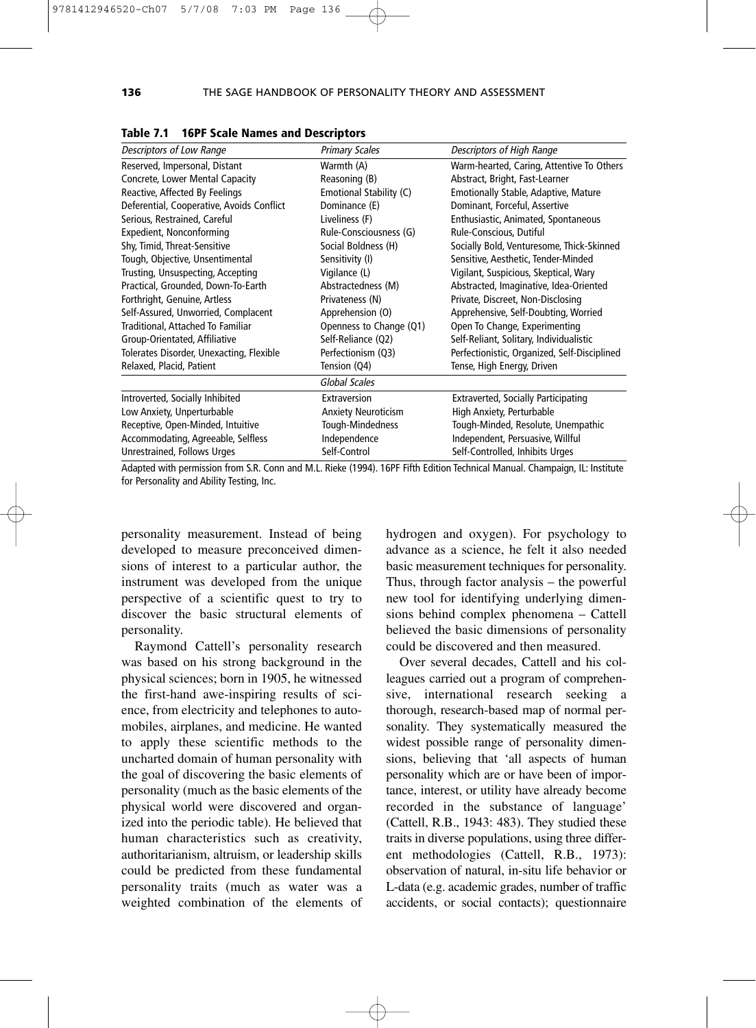| Descriptors of Low Range                  | <b>Primary Scales</b>      | Descriptors of High Range                    |
|-------------------------------------------|----------------------------|----------------------------------------------|
|                                           |                            |                                              |
| Reserved, Impersonal, Distant             | Warmth (A)                 | Warm-hearted, Caring, Attentive To Others    |
| Concrete, Lower Mental Capacity           | Reasoning (B)              | Abstract, Bright, Fast-Learner               |
| Reactive, Affected By Feelings            | Emotional Stability (C)    | <b>Emotionally Stable, Adaptive, Mature</b>  |
| Deferential, Cooperative, Avoids Conflict | Dominance (E)              | Dominant, Forceful, Assertive                |
| Serious, Restrained, Careful              | Liveliness (F)             | Enthusiastic, Animated, Spontaneous          |
| Expedient, Nonconforming                  | Rule-Consciousness (G)     | Rule-Conscious, Dutiful                      |
| Shy, Timid, Threat-Sensitive              | Social Boldness (H)        | Socially Bold, Venturesome, Thick-Skinned    |
| Tough, Objective, Unsentimental           | Sensitivity (I)            | Sensitive, Aesthetic, Tender-Minded          |
| Trusting, Unsuspecting, Accepting         | Vigilance (L)              | Vigilant, Suspicious, Skeptical, Wary        |
| Practical, Grounded, Down-To-Earth        | Abstractedness (M)         | Abstracted, Imaginative, Idea-Oriented       |
| Forthright, Genuine, Artless              | Privateness (N)            | Private, Discreet, Non-Disclosing            |
| Self-Assured, Unworried, Complacent       | Apprehension (O)           | Apprehensive, Self-Doubting, Worried         |
| Traditional, Attached To Familiar         | Openness to Change (Q1)    | Open To Change, Experimenting                |
| Group-Orientated, Affiliative             | Self-Reliance (Q2)         | Self-Reliant, Solitary, Individualistic      |
| Tolerates Disorder, Unexacting, Flexible  | Perfectionism (Q3)         | Perfectionistic, Organized, Self-Disciplined |
| Relaxed, Placid, Patient                  | Tension (Q4)               | Tense, High Energy, Driven                   |
|                                           | Global Scales              |                                              |
| Introverted, Socially Inhibited           | Extraversion               | <b>Extraverted, Socially Participating</b>   |
| Low Anxiety, Unperturbable                | <b>Anxiety Neuroticism</b> | High Anxiety, Perturbable                    |
| Receptive, Open-Minded, Intuitive         | Tough-Mindedness           | Tough-Minded, Resolute, Unempathic           |
| Accommodating, Agreeable, Selfless        | Independence               | Independent, Persuasive, Willful             |
| Unrestrained, Follows Urges               | Self-Control               | Self-Controlled, Inhibits Urges              |

|  |  |  |  |  | Table 7.1 16PF Scale Names and Descriptors |
|--|--|--|--|--|--------------------------------------------|
|--|--|--|--|--|--------------------------------------------|

Adapted with permission from S.R. Conn and M.L. Rieke (1994). 16PF Fifth Edition Technical Manual. Champaign, IL: Institute for Personality and Ability Testing, Inc.

personality measurement. Instead of being developed to measure preconceived dimensions of interest to a particular author, the instrument was developed from the unique perspective of a scientific quest to try to discover the basic structural elements of personality.

Raymond Cattell's personality research was based on his strong background in the physical sciences; born in 1905, he witnessed the first-hand awe-inspiring results of science, from electricity and telephones to automobiles, airplanes, and medicine. He wanted to apply these scientific methods to the uncharted domain of human personality with the goal of discovering the basic elements of personality (much as the basic elements of the physical world were discovered and organized into the periodic table). He believed that human characteristics such as creativity, authoritarianism, altruism, or leadership skills could be predicted from these fundamental personality traits (much as water was a weighted combination of the elements of hydrogen and oxygen). For psychology to advance as a science, he felt it also needed basic measurement techniques for personality. Thus, through factor analysis – the powerful new tool for identifying underlying dimensions behind complex phenomena – Cattell believed the basic dimensions of personality could be discovered and then measured.

Over several decades, Cattell and his colleagues carried out a program of comprehensive, international research seeking a thorough, research-based map of normal personality. They systematically measured the widest possible range of personality dimensions, believing that 'all aspects of human personality which are or have been of importance, interest, or utility have already become recorded in the substance of language' (Cattell, R.B., 1943: 483). They studied these traits in diverse populations, using three different methodologies (Cattell, R.B., 1973): observation of natural, in-situ life behavior or L-data (e.g. academic grades, number of traffic accidents, or social contacts); questionnaire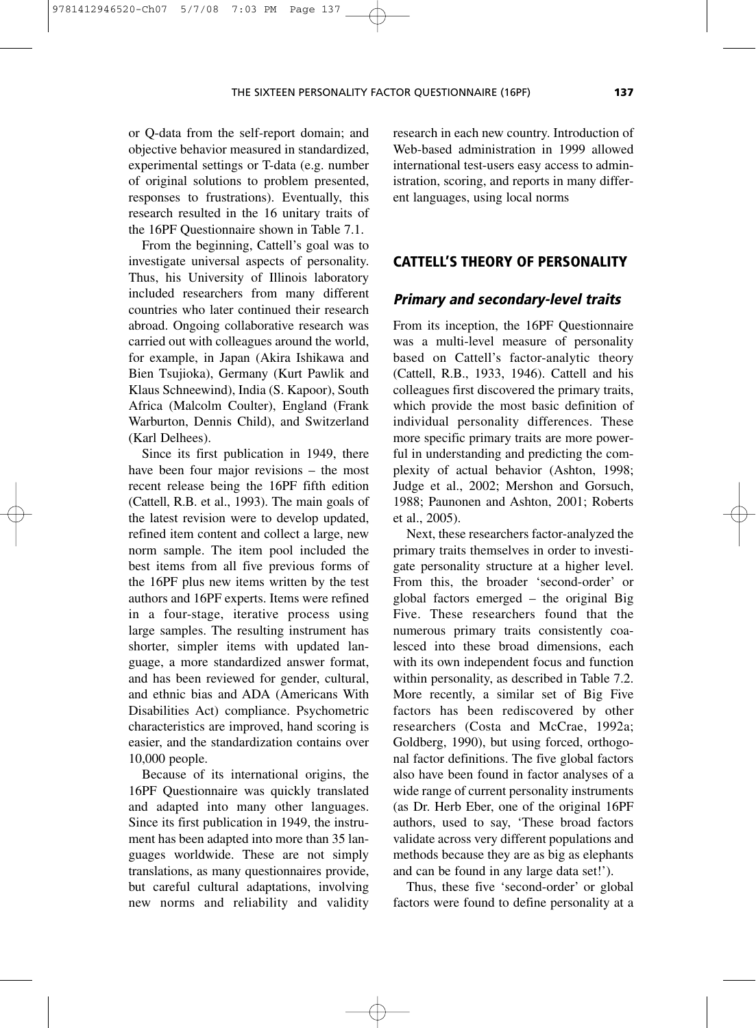or Q-data from the self-report domain; and objective behavior measured in standardized, experimental settings or T-data (e.g. number of original solutions to problem presented, responses to frustrations). Eventually, this research resulted in the 16 unitary traits of the 16PF Questionnaire shown in Table 7.1.

9781412946520-Ch07 5/7/08 7:03 PM Page 137

From the beginning, Cattell's goal was to investigate universal aspects of personality. Thus, his University of Illinois laboratory included researchers from many different countries who later continued their research abroad. Ongoing collaborative research was carried out with colleagues around the world, for example, in Japan (Akira Ishikawa and Bien Tsujioka), Germany (Kurt Pawlik and Klaus Schneewind), India (S. Kapoor), South Africa (Malcolm Coulter), England (Frank Warburton, Dennis Child), and Switzerland (Karl Delhees).

Since its first publication in 1949, there have been four major revisions – the most recent release being the 16PF fifth edition (Cattell, R.B. et al., 1993). The main goals of the latest revision were to develop updated, refined item content and collect a large, new norm sample. The item pool included the best items from all five previous forms of the 16PF plus new items written by the test authors and 16PF experts. Items were refined in a four-stage, iterative process using large samples. The resulting instrument has shorter, simpler items with updated language, a more standardized answer format, and has been reviewed for gender, cultural, and ethnic bias and ADA (Americans With Disabilities Act) compliance. Psychometric characteristics are improved, hand scoring is easier, and the standardization contains over 10,000 people.

Because of its international origins, the 16PF Questionnaire was quickly translated and adapted into many other languages. Since its first publication in 1949, the instrument has been adapted into more than 35 languages worldwide. These are not simply translations, as many questionnaires provide, but careful cultural adaptations, involving new norms and reliability and validity research in each new country. Introduction of Web-based administration in 1999 allowed international test-users easy access to administration, scoring, and reports in many different languages, using local norms

# **CATTELL'S THEORY OF PERSONALITY**

#### **Primary and secondary-level traits**

From its inception, the 16PF Questionnaire was a multi-level measure of personality based on Cattell's factor-analytic theory (Cattell, R.B., 1933, 1946). Cattell and his colleagues first discovered the primary traits, which provide the most basic definition of individual personality differences. These more specific primary traits are more powerful in understanding and predicting the complexity of actual behavior (Ashton, 1998; Judge et al., 2002; Mershon and Gorsuch, 1988; Paunonen and Ashton, 2001; Roberts et al., 2005).

Next, these researchers factor-analyzed the primary traits themselves in order to investigate personality structure at a higher level. From this, the broader 'second-order' or global factors emerged – the original Big Five. These researchers found that the numerous primary traits consistently coalesced into these broad dimensions, each with its own independent focus and function within personality, as described in Table 7.2. More recently, a similar set of Big Five factors has been rediscovered by other researchers (Costa and McCrae, 1992a; Goldberg, 1990), but using forced, orthogonal factor definitions. The five global factors also have been found in factor analyses of a wide range of current personality instruments (as Dr. Herb Eber, one of the original 16PF authors, used to say, 'These broad factors validate across very different populations and methods because they are as big as elephants and can be found in any large data set!').

Thus, these five 'second-order' or global factors were found to define personality at a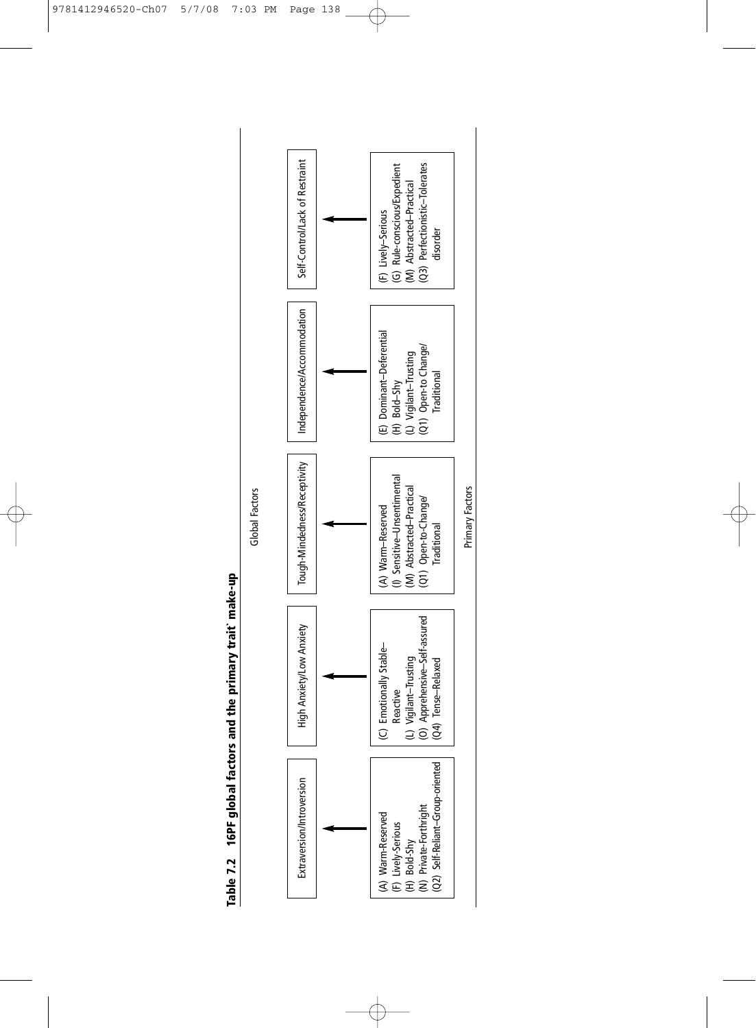Table 7.2 16PF global factors and the primary trait make-up **Table 7.2 16PF global factors and the primary trait` make-up** Global Factors

Global Factors



 $\oplus$ 

 $\overline{\varphi}$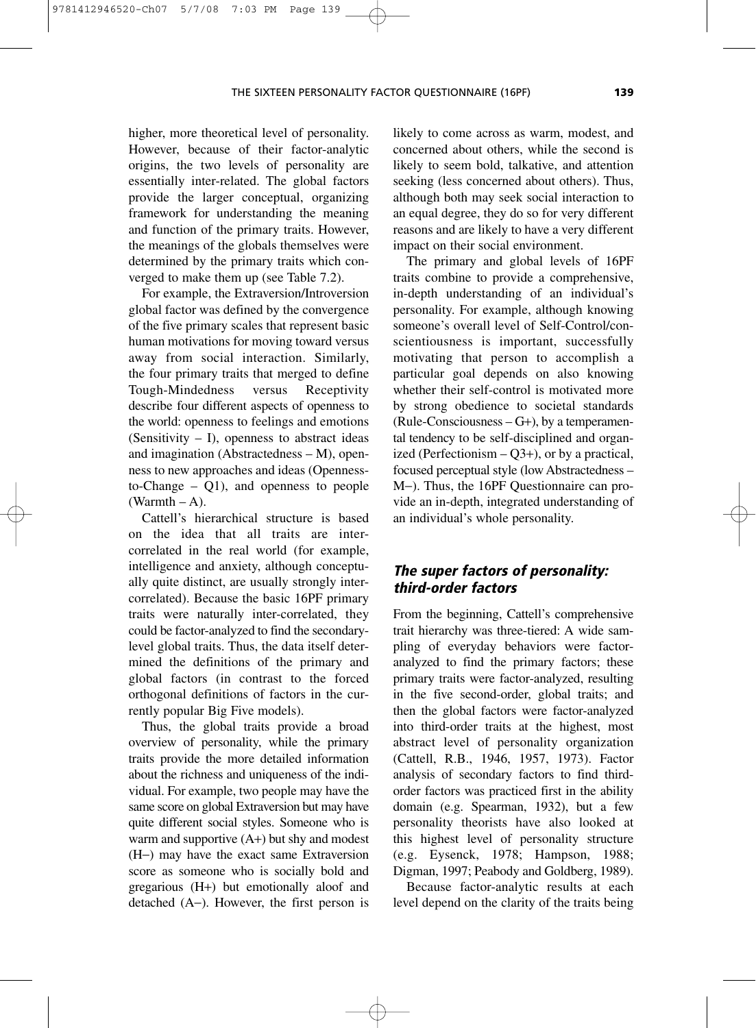higher, more theoretical level of personality. However, because of their factor-analytic origins, the two levels of personality are essentially inter-related. The global factors provide the larger conceptual, organizing framework for understanding the meaning and function of the primary traits. However, the meanings of the globals themselves were determined by the primary traits which converged to make them up (see Table 7.2).

9781412946520-Ch07 5/7/08 7:03 PM Page 139

For example, the Extraversion/Introversion global factor was defined by the convergence of the five primary scales that represent basic human motivations for moving toward versus away from social interaction. Similarly, the four primary traits that merged to define Tough-Mindedness versus Receptivity describe four different aspects of openness to the world: openness to feelings and emotions (Sensitivity  $- I$ ), openness to abstract ideas and imagination (Abstractedness – M), openness to new approaches and ideas (Opennessto-Change – Q1), and openness to people  $(Warmth - A).$ 

Cattell's hierarchical structure is based on the idea that all traits are intercorrelated in the real world (for example, intelligence and anxiety, although conceptually quite distinct, are usually strongly intercorrelated). Because the basic 16PF primary traits were naturally inter-correlated, they could be factor-analyzed to find the secondarylevel global traits. Thus, the data itself determined the definitions of the primary and global factors (in contrast to the forced orthogonal definitions of factors in the currently popular Big Five models).

Thus, the global traits provide a broad overview of personality, while the primary traits provide the more detailed information about the richness and uniqueness of the individual. For example, two people may have the same score on global Extraversion but may have quite different social styles. Someone who is warm and supportive (A+) but shy and modest (H−) may have the exact same Extraversion score as someone who is socially bold and gregarious (H+) but emotionally aloof and detached (A−). However, the first person is likely to come across as warm, modest, and concerned about others, while the second is likely to seem bold, talkative, and attention seeking (less concerned about others). Thus, although both may seek social interaction to an equal degree, they do so for very different reasons and are likely to have a very different impact on their social environment.

The primary and global levels of 16PF traits combine to provide a comprehensive, in-depth understanding of an individual's personality. For example, although knowing someone's overall level of Self-Control/conscientiousness is important, successfully motivating that person to accomplish a particular goal depends on also knowing whether their self-control is motivated more by strong obedience to societal standards (Rule-Consciousness – G+), by a temperamental tendency to be self-disciplined and organized (Perfectionism  $-Q3+$ ), or by a practical, focused perceptual style (low Abstractedness – M−). Thus, the 16PF Questionnaire can provide an in-depth, integrated understanding of an individual's whole personality.

# **The super factors of personality: third-order factors**

From the beginning, Cattell's comprehensive trait hierarchy was three-tiered: A wide sampling of everyday behaviors were factoranalyzed to find the primary factors; these primary traits were factor-analyzed, resulting in the five second-order, global traits; and then the global factors were factor-analyzed into third-order traits at the highest, most abstract level of personality organization (Cattell, R.B., 1946, 1957, 1973). Factor analysis of secondary factors to find thirdorder factors was practiced first in the ability domain (e.g. Spearman, 1932), but a few personality theorists have also looked at this highest level of personality structure (e.g. Eysenck, 1978; Hampson, 1988; Digman, 1997; Peabody and Goldberg, 1989).

Because factor-analytic results at each level depend on the clarity of the traits being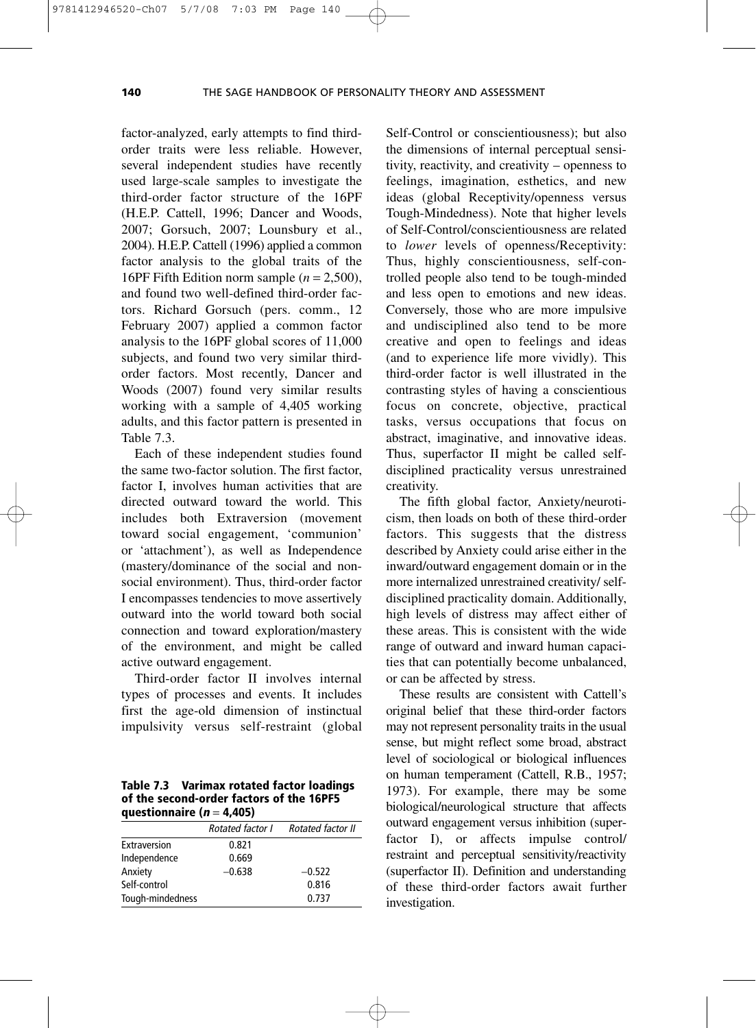factor-analyzed, early attempts to find thirdorder traits were less reliable. However, several independent studies have recently used large-scale samples to investigate the third-order factor structure of the 16PF (H.E.P. Cattell, 1996; Dancer and Woods, 2007; Gorsuch, 2007; Lounsbury et al., 2004). H.E.P. Cattell (1996) applied a common factor analysis to the global traits of the 16PF Fifth Edition norm sample  $(n = 2,500)$ , and found two well-defined third-order factors. Richard Gorsuch (pers. comm., 12 February 2007) applied a common factor analysis to the 16PF global scores of 11,000 subjects, and found two very similar thirdorder factors. Most recently, Dancer and Woods (2007) found very similar results working with a sample of 4,405 working adults, and this factor pattern is presented in Table 7.3.

Each of these independent studies found the same two-factor solution. The first factor, factor I, involves human activities that are directed outward toward the world. This includes both Extraversion (movement toward social engagement, 'communion' or 'attachment'), as well as Independence (mastery/dominance of the social and nonsocial environment). Thus, third-order factor I encompasses tendencies to move assertively outward into the world toward both social connection and toward exploration/mastery of the environment, and might be called active outward engagement.

Third-order factor II involves internal types of processes and events. It includes first the age-old dimension of instinctual impulsivity versus self-restraint (global

**Table 7.3 Varimax rotated factor loadings of the second-order factors of the 16PF5 questionnaire (<sup>n</sup>** = **4,405)**

| $\frac{1}{2}$    |                  |                   |  |  |  |
|------------------|------------------|-------------------|--|--|--|
|                  | Rotated factor I | Rotated factor II |  |  |  |
| Extraversion     | 0.821            |                   |  |  |  |
| Independence     | 0.669            |                   |  |  |  |
| Anxiety          | $-0.638$         | $-0.522$          |  |  |  |
| Self-control     |                  | 0.816             |  |  |  |
| Tough-mindedness |                  | 0.737             |  |  |  |

Self-Control or conscientiousness); but also the dimensions of internal perceptual sensitivity, reactivity, and creativity – openness to feelings, imagination, esthetics, and new ideas (global Receptivity/openness versus Tough-Mindedness). Note that higher levels of Self-Control/conscientiousness are related to *lower* levels of openness/Receptivity: Thus, highly conscientiousness, self-controlled people also tend to be tough-minded and less open to emotions and new ideas. Conversely, those who are more impulsive and undisciplined also tend to be more creative and open to feelings and ideas (and to experience life more vividly). This third-order factor is well illustrated in the contrasting styles of having a conscientious focus on concrete, objective, practical tasks, versus occupations that focus on abstract, imaginative, and innovative ideas. Thus, superfactor II might be called selfdisciplined practicality versus unrestrained creativity.

The fifth global factor, Anxiety/neuroticism, then loads on both of these third-order factors. This suggests that the distress described by Anxiety could arise either in the inward/outward engagement domain or in the more internalized unrestrained creativity/ selfdisciplined practicality domain. Additionally, high levels of distress may affect either of these areas. This is consistent with the wide range of outward and inward human capacities that can potentially become unbalanced, or can be affected by stress.

These results are consistent with Cattell's original belief that these third-order factors may not represent personality traits in the usual sense, but might reflect some broad, abstract level of sociological or biological influences on human temperament (Cattell, R.B., 1957; 1973). For example, there may be some biological/neurological structure that affects outward engagement versus inhibition (superfactor I), or affects impulse control/ restraint and perceptual sensitivity/reactivity (superfactor II). Definition and understanding of these third-order factors await further investigation.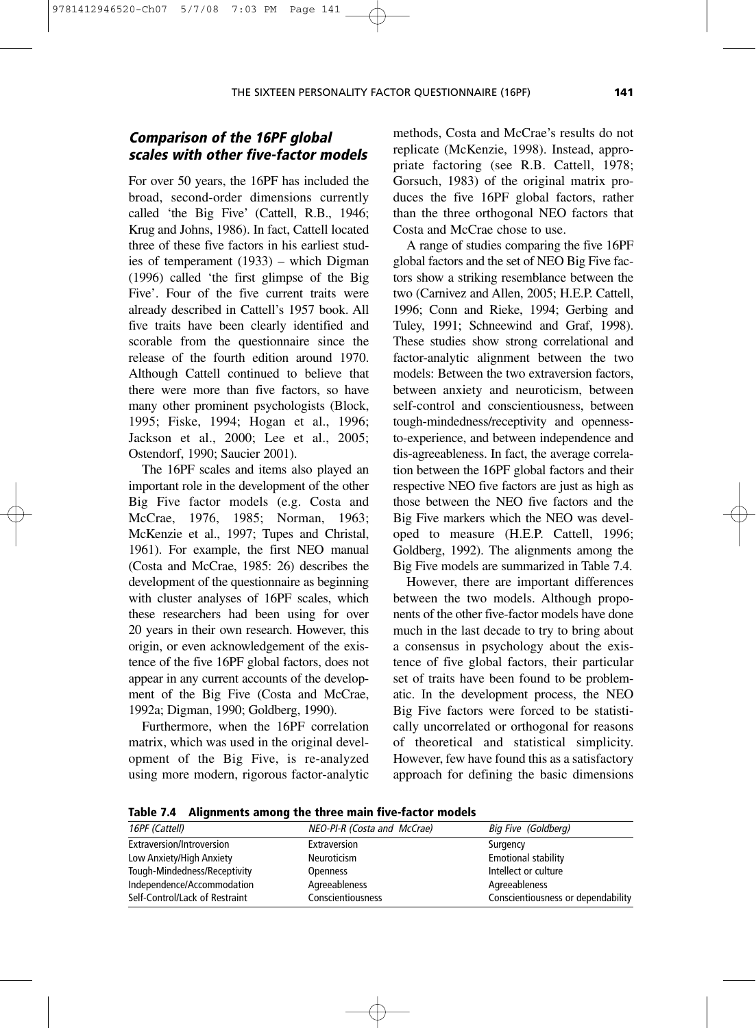# **Comparison of the 16PF global scales with other five-factor models**

9781412946520-Ch07 5/7/08 7:03 PM Page 141

For over 50 years, the 16PF has included the broad, second-order dimensions currently called 'the Big Five' (Cattell, R.B., 1946; Krug and Johns, 1986). In fact, Cattell located three of these five factors in his earliest studies of temperament (1933) – which Digman (1996) called 'the first glimpse of the Big Five'. Four of the five current traits were already described in Cattell's 1957 book. All five traits have been clearly identified and scorable from the questionnaire since the release of the fourth edition around 1970. Although Cattell continued to believe that there were more than five factors, so have many other prominent psychologists (Block, 1995; Fiske, 1994; Hogan et al., 1996; Jackson et al., 2000; Lee et al., 2005; Ostendorf, 1990; Saucier 2001).

The 16PF scales and items also played an important role in the development of the other Big Five factor models (e.g. Costa and McCrae, 1976, 1985; Norman, 1963; McKenzie et al., 1997; Tupes and Christal, 1961). For example, the first NEO manual (Costa and McCrae, 1985: 26) describes the development of the questionnaire as beginning with cluster analyses of 16PF scales, which these researchers had been using for over 20 years in their own research. However, this origin, or even acknowledgement of the existence of the five 16PF global factors, does not appear in any current accounts of the development of the Big Five (Costa and McCrae, 1992a; Digman, 1990; Goldberg, 1990).

Furthermore, when the 16PF correlation matrix, which was used in the original development of the Big Five, is re-analyzed using more modern, rigorous factor-analytic methods, Costa and McCrae's results do not replicate (McKenzie, 1998). Instead, appropriate factoring (see R.B. Cattell, 1978; Gorsuch, 1983) of the original matrix produces the five 16PF global factors, rather than the three orthogonal NEO factors that Costa and McCrae chose to use.

A range of studies comparing the five 16PF global factors and the set of NEO Big Five factors show a striking resemblance between the two (Carnivez and Allen, 2005; H.E.P. Cattell, 1996; Conn and Rieke, 1994; Gerbing and Tuley, 1991; Schneewind and Graf, 1998). These studies show strong correlational and factor-analytic alignment between the two models: Between the two extraversion factors, between anxiety and neuroticism, between self-control and conscientiousness, between tough-mindedness/receptivity and opennessto-experience, and between independence and dis-agreeableness. In fact, the average correlation between the 16PF global factors and their respective NEO five factors are just as high as those between the NEO five factors and the Big Five markers which the NEO was developed to measure (H.E.P. Cattell, 1996; Goldberg, 1992). The alignments among the Big Five models are summarized in Table 7.4.

However, there are important differences between the two models. Although proponents of the other five-factor models have done much in the last decade to try to bring about a consensus in psychology about the existence of five global factors, their particular set of traits have been found to be problematic. In the development process, the NEO Big Five factors were forced to be statistically uncorrelated or orthogonal for reasons of theoretical and statistical simplicity. However, few have found this as a satisfactory approach for defining the basic dimensions

**Table 7.4 Alignments among the three main five-factor models**

| 16PF (Cattell)                 | NEO-PI-R (Costa and McCrae) | Big Five (Goldberg)                |
|--------------------------------|-----------------------------|------------------------------------|
| Extraversion/Introversion      | Extraversion                | Surgency                           |
| Low Anxiety/High Anxiety       | Neuroticism                 | <b>Emotional stability</b>         |
| Tough-Mindedness/Receptivity   | Openness                    | Intellect or culture               |
| Independence/Accommodation     | Agreeableness               | Agreeableness                      |
| Self-Control/Lack of Restraint | <b>Conscientiousness</b>    | Conscientiousness or dependability |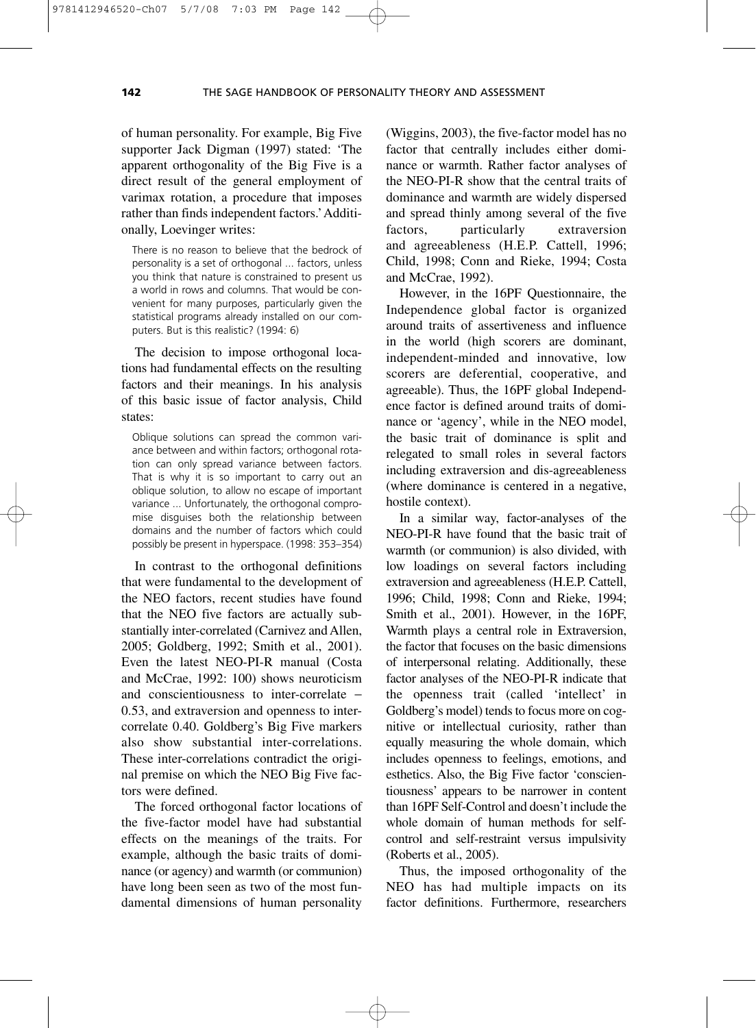of human personality. For example, Big Five supporter Jack Digman (1997) stated: 'The apparent orthogonality of the Big Five is a direct result of the general employment of varimax rotation, a procedure that imposes rather than finds independent factors.'Additionally, Loevinger writes:

There is no reason to believe that the bedrock of personality is a set of orthogonal ... factors, unless you think that nature is constrained to present us a world in rows and columns. That would be convenient for many purposes, particularly given the statistical programs already installed on our computers. But is this realistic? (1994: 6)

The decision to impose orthogonal locations had fundamental effects on the resulting factors and their meanings. In his analysis of this basic issue of factor analysis, Child states:

Oblique solutions can spread the common variance between and within factors; orthogonal rotation can only spread variance between factors. That is why it is so important to carry out an oblique solution, to allow no escape of important variance ... Unfortunately, the orthogonal compromise disguises both the relationship between domains and the number of factors which could possibly be present in hyperspace. (1998: 353–354)

In contrast to the orthogonal definitions that were fundamental to the development of the NEO factors, recent studies have found that the NEO five factors are actually substantially inter-correlated (Carnivez and Allen, 2005; Goldberg, 1992; Smith et al., 2001). Even the latest NEO-PI-R manual (Costa and McCrae, 1992: 100) shows neuroticism and conscientiousness to inter-correlate − 0.53, and extraversion and openness to intercorrelate 0.40. Goldberg's Big Five markers also show substantial inter-correlations. These inter-correlations contradict the original premise on which the NEO Big Five factors were defined.

The forced orthogonal factor locations of the five-factor model have had substantial effects on the meanings of the traits. For example, although the basic traits of dominance (or agency) and warmth (or communion) have long been seen as two of the most fundamental dimensions of human personality

(Wiggins, 2003), the five-factor model has no factor that centrally includes either dominance or warmth. Rather factor analyses of the NEO-PI-R show that the central traits of dominance and warmth are widely dispersed and spread thinly among several of the five factors, particularly extraversion and agreeableness (H.E.P. Cattell, 1996; Child, 1998; Conn and Rieke, 1994; Costa and McCrae, 1992).

However, in the 16PF Questionnaire, the Independence global factor is organized around traits of assertiveness and influence in the world (high scorers are dominant, independent-minded and innovative, low scorers are deferential, cooperative, and agreeable). Thus, the 16PF global Independence factor is defined around traits of dominance or 'agency', while in the NEO model, the basic trait of dominance is split and relegated to small roles in several factors including extraversion and dis-agreeableness (where dominance is centered in a negative, hostile context).

In a similar way, factor-analyses of the NEO-PI-R have found that the basic trait of warmth (or communion) is also divided, with low loadings on several factors including extraversion and agreeableness (H.E.P. Cattell, 1996; Child, 1998; Conn and Rieke, 1994; Smith et al., 2001). However, in the 16PF, Warmth plays a central role in Extraversion, the factor that focuses on the basic dimensions of interpersonal relating. Additionally, these factor analyses of the NEO-PI-R indicate that the openness trait (called 'intellect' in Goldberg's model) tends to focus more on cognitive or intellectual curiosity, rather than equally measuring the whole domain, which includes openness to feelings, emotions, and esthetics. Also, the Big Five factor 'conscientiousness' appears to be narrower in content than 16PF Self-Control and doesn't include the whole domain of human methods for selfcontrol and self-restraint versus impulsivity (Roberts et al., 2005).

Thus, the imposed orthogonality of the NEO has had multiple impacts on its factor definitions. Furthermore, researchers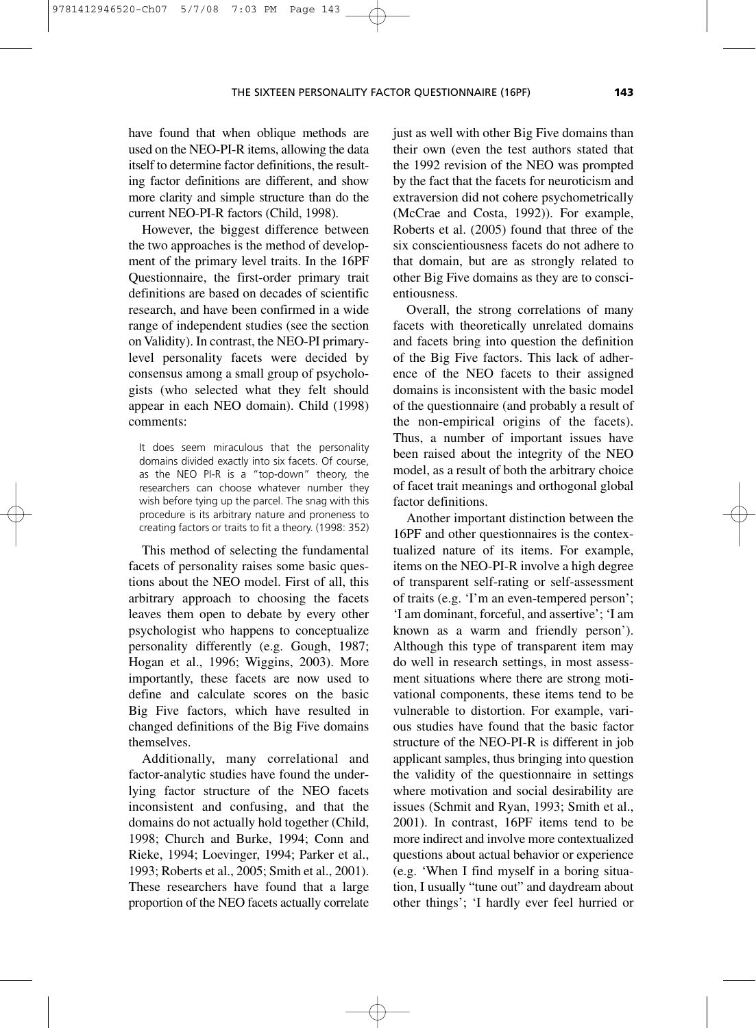have found that when oblique methods are used on the NEO-PI-R items, allowing the data itself to determine factor definitions, the resulting factor definitions are different, and show more clarity and simple structure than do the current NEO-PI-R factors (Child, 1998).

9781412946520-Ch07 5/7/08 7:03 PM Page 143

However, the biggest difference between the two approaches is the method of development of the primary level traits. In the 16PF Questionnaire, the first-order primary trait definitions are based on decades of scientific research, and have been confirmed in a wide range of independent studies (see the section on Validity). In contrast, the NEO-PI primarylevel personality facets were decided by consensus among a small group of psychologists (who selected what they felt should appear in each NEO domain). Child (1998) comments:

It does seem miraculous that the personality domains divided exactly into six facets. Of course, as the NEO PI-R is a "top-down" theory, the researchers can choose whatever number they wish before tying up the parcel. The snag with this procedure is its arbitrary nature and proneness to creating factors or traits to fit a theory. (1998: 352)

This method of selecting the fundamental facets of personality raises some basic questions about the NEO model. First of all, this arbitrary approach to choosing the facets leaves them open to debate by every other psychologist who happens to conceptualize personality differently (e.g. Gough, 1987; Hogan et al., 1996; Wiggins, 2003). More importantly, these facets are now used to define and calculate scores on the basic Big Five factors, which have resulted in changed definitions of the Big Five domains themselves.

Additionally, many correlational and factor-analytic studies have found the underlying factor structure of the NEO facets inconsistent and confusing, and that the domains do not actually hold together (Child, 1998; Church and Burke, 1994; Conn and Rieke, 1994; Loevinger, 1994; Parker et al., 1993; Roberts et al., 2005; Smith et al., 2001). These researchers have found that a large proportion of the NEO facets actually correlate just as well with other Big Five domains than their own (even the test authors stated that the 1992 revision of the NEO was prompted by the fact that the facets for neuroticism and extraversion did not cohere psychometrically (McCrae and Costa, 1992)). For example, Roberts et al. (2005) found that three of the six conscientiousness facets do not adhere to that domain, but are as strongly related to other Big Five domains as they are to conscientiousness.

Overall, the strong correlations of many facets with theoretically unrelated domains and facets bring into question the definition of the Big Five factors. This lack of adherence of the NEO facets to their assigned domains is inconsistent with the basic model of the questionnaire (and probably a result of the non-empirical origins of the facets). Thus, a number of important issues have been raised about the integrity of the NEO model, as a result of both the arbitrary choice of facet trait meanings and orthogonal global factor definitions.

Another important distinction between the 16PF and other questionnaires is the contextualized nature of its items. For example, items on the NEO-PI-R involve a high degree of transparent self-rating or self-assessment of traits (e.g. 'I'm an even-tempered person'; 'I am dominant, forceful, and assertive'; 'I am known as a warm and friendly person'). Although this type of transparent item may do well in research settings, in most assessment situations where there are strong motivational components, these items tend to be vulnerable to distortion. For example, various studies have found that the basic factor structure of the NEO-PI-R is different in job applicant samples, thus bringing into question the validity of the questionnaire in settings where motivation and social desirability are issues (Schmit and Ryan, 1993; Smith et al., 2001). In contrast, 16PF items tend to be more indirect and involve more contextualized questions about actual behavior or experience (e.g. 'When I find myself in a boring situation, I usually "tune out" and daydream about other things'; 'I hardly ever feel hurried or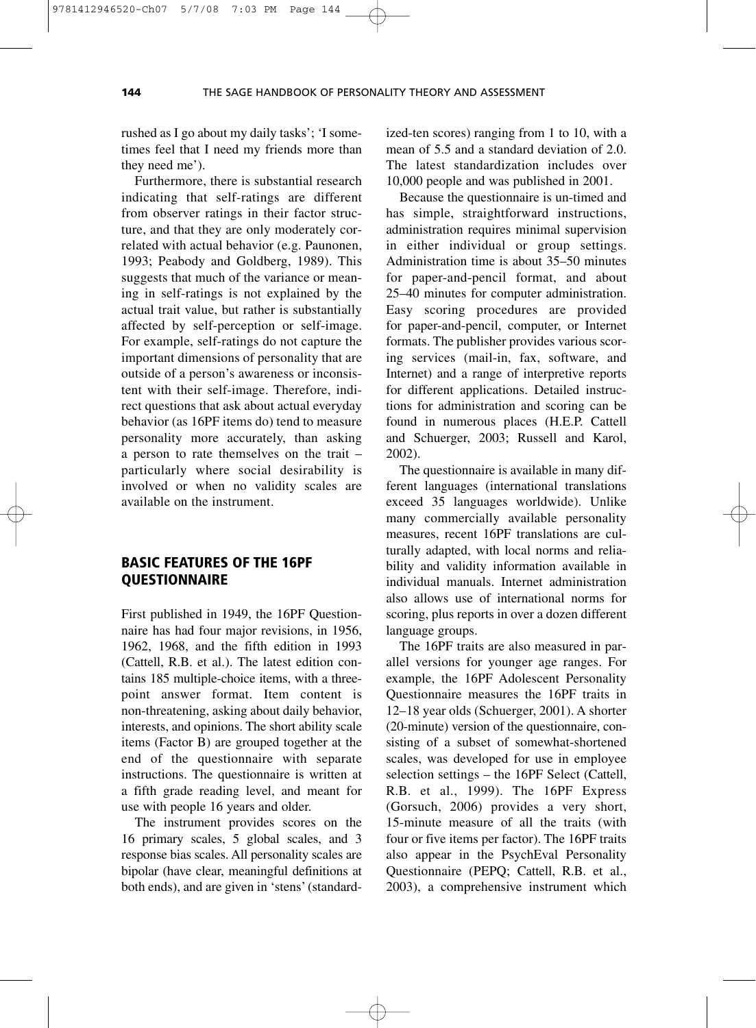rushed as I go about my daily tasks'; 'I sometimes feel that I need my friends more than they need me').

Furthermore, there is substantial research indicating that self-ratings are different from observer ratings in their factor structure, and that they are only moderately correlated with actual behavior (e.g. Paunonen, 1993; Peabody and Goldberg, 1989). This suggests that much of the variance or meaning in self-ratings is not explained by the actual trait value, but rather is substantially affected by self-perception or self-image. For example, self-ratings do not capture the important dimensions of personality that are outside of a person's awareness or inconsistent with their self-image. Therefore, indirect questions that ask about actual everyday behavior (as 16PF items do) tend to measure personality more accurately, than asking a person to rate themselves on the trait – particularly where social desirability is involved or when no validity scales are available on the instrument.

#### **BASIC FEATURES OF THE 16PF QUESTIONNAIRE**

First published in 1949, the 16PF Questionnaire has had four major revisions, in 1956, 1962, 1968, and the fifth edition in 1993 (Cattell, R.B. et al.). The latest edition contains 185 multiple-choice items, with a threepoint answer format. Item content is non-threatening, asking about daily behavior, interests, and opinions. The short ability scale items (Factor B) are grouped together at the end of the questionnaire with separate instructions. The questionnaire is written at a fifth grade reading level, and meant for use with people 16 years and older.

The instrument provides scores on the 16 primary scales, 5 global scales, and 3 response bias scales. All personality scales are bipolar (have clear, meaningful definitions at both ends), and are given in 'stens' (standardized-ten scores) ranging from 1 to 10, with a mean of 5.5 and a standard deviation of 2.0. The latest standardization includes over 10,000 people and was published in 2001.

Because the questionnaire is un-timed and has simple, straightforward instructions, administration requires minimal supervision in either individual or group settings. Administration time is about 35–50 minutes for paper-and-pencil format, and about 25–40 minutes for computer administration. Easy scoring procedures are provided for paper-and-pencil, computer, or Internet formats. The publisher provides various scoring services (mail-in, fax, software, and Internet) and a range of interpretive reports for different applications. Detailed instructions for administration and scoring can be found in numerous places (H.E.P. Cattell and Schuerger, 2003; Russell and Karol, 2002).

The questionnaire is available in many different languages (international translations exceed 35 languages worldwide). Unlike many commercially available personality measures, recent 16PF translations are culturally adapted, with local norms and reliability and validity information available in individual manuals. Internet administration also allows use of international norms for scoring, plus reports in over a dozen different language groups.

The 16PF traits are also measured in parallel versions for younger age ranges. For example, the 16PF Adolescent Personality Questionnaire measures the 16PF traits in 12–18 year olds (Schuerger, 2001). A shorter (20-minute) version of the questionnaire, consisting of a subset of somewhat-shortened scales, was developed for use in employee selection settings – the 16PF Select (Cattell, R.B. et al., 1999). The 16PF Express (Gorsuch, 2006) provides a very short, 15-minute measure of all the traits (with four or five items per factor). The 16PF traits also appear in the PsychEval Personality Questionnaire (PEPQ; Cattell, R.B. et al., 2003), a comprehensive instrument which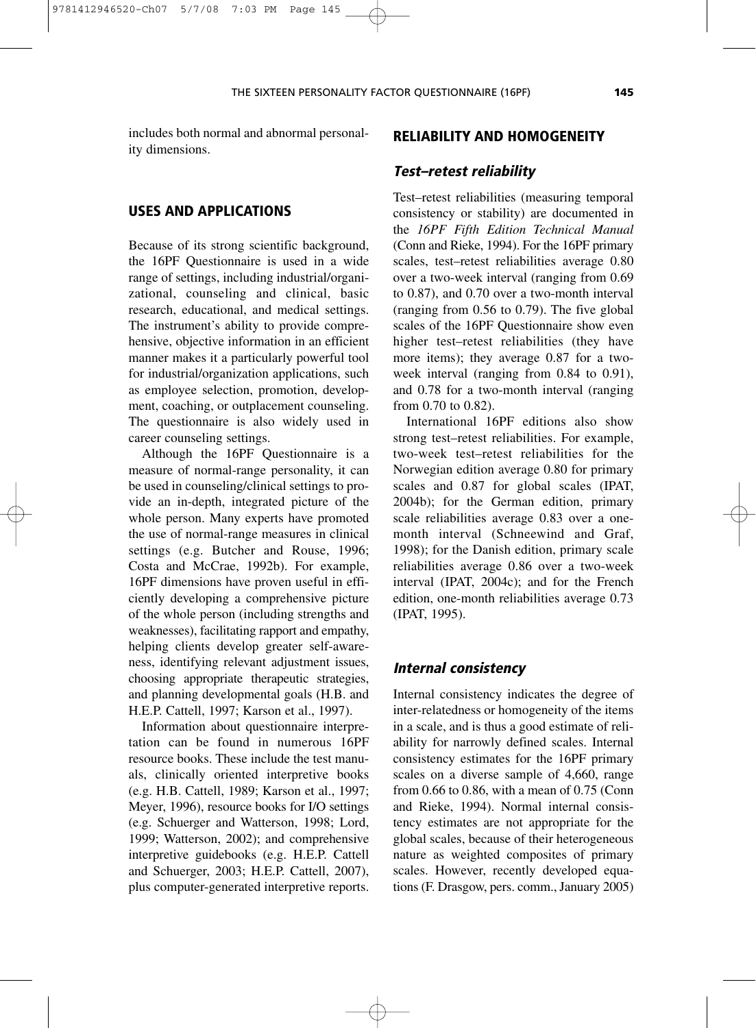includes both normal and abnormal personality dimensions.

#### **USES AND APPLICATIONS**

Because of its strong scientific background, the 16PF Questionnaire is used in a wide range of settings, including industrial/organizational, counseling and clinical, basic research, educational, and medical settings. The instrument's ability to provide comprehensive, objective information in an efficient manner makes it a particularly powerful tool for industrial/organization applications, such as employee selection, promotion, development, coaching, or outplacement counseling. The questionnaire is also widely used in career counseling settings.

Although the 16PF Questionnaire is a measure of normal-range personality, it can be used in counseling/clinical settings to provide an in-depth, integrated picture of the whole person. Many experts have promoted the use of normal-range measures in clinical settings (e.g. Butcher and Rouse, 1996; Costa and McCrae, 1992b). For example, 16PF dimensions have proven useful in efficiently developing a comprehensive picture of the whole person (including strengths and weaknesses), facilitating rapport and empathy, helping clients develop greater self-awareness, identifying relevant adjustment issues, choosing appropriate therapeutic strategies, and planning developmental goals (H.B. and H.E.P. Cattell, 1997; Karson et al., 1997).

Information about questionnaire interpretation can be found in numerous 16PF resource books. These include the test manuals, clinically oriented interpretive books (e.g. H.B. Cattell, 1989; Karson et al., 1997; Meyer, 1996), resource books for I/O settings (e.g. Schuerger and Watterson, 1998; Lord, 1999; Watterson, 2002); and comprehensive interpretive guidebooks (e.g. H.E.P. Cattell and Schuerger, 2003; H.E.P. Cattell, 2007), plus computer-generated interpretive reports.

#### **RELIABILITY AND HOMOGENEITY**

#### **Test–retest reliability**

Test–retest reliabilities (measuring temporal consistency or stability) are documented in the *16PF Fifth Edition Technical Manual* (Conn and Rieke, 1994). For the 16PF primary scales, test–retest reliabilities average 0.80 over a two-week interval (ranging from 0.69 to 0.87), and 0.70 over a two-month interval (ranging from 0.56 to 0.79). The five global scales of the 16PF Questionnaire show even higher test–retest reliabilities (they have more items); they average 0.87 for a twoweek interval (ranging from 0.84 to 0.91), and 0.78 for a two-month interval (ranging from 0.70 to 0.82).

International 16PF editions also show strong test–retest reliabilities. For example, two-week test–retest reliabilities for the Norwegian edition average 0.80 for primary scales and 0.87 for global scales (IPAT, 2004b); for the German edition, primary scale reliabilities average 0.83 over a onemonth interval (Schneewind and Graf, 1998); for the Danish edition, primary scale reliabilities average 0.86 over a two-week interval (IPAT, 2004c); and for the French edition, one-month reliabilities average 0.73 (IPAT, 1995).

#### **Internal consistency**

Internal consistency indicates the degree of inter-relatedness or homogeneity of the items in a scale, and is thus a good estimate of reliability for narrowly defined scales. Internal consistency estimates for the 16PF primary scales on a diverse sample of 4,660, range from 0.66 to 0.86, with a mean of 0.75 (Conn and Rieke, 1994). Normal internal consistency estimates are not appropriate for the global scales, because of their heterogeneous nature as weighted composites of primary scales. However, recently developed equations (F. Drasgow, pers. comm., January 2005)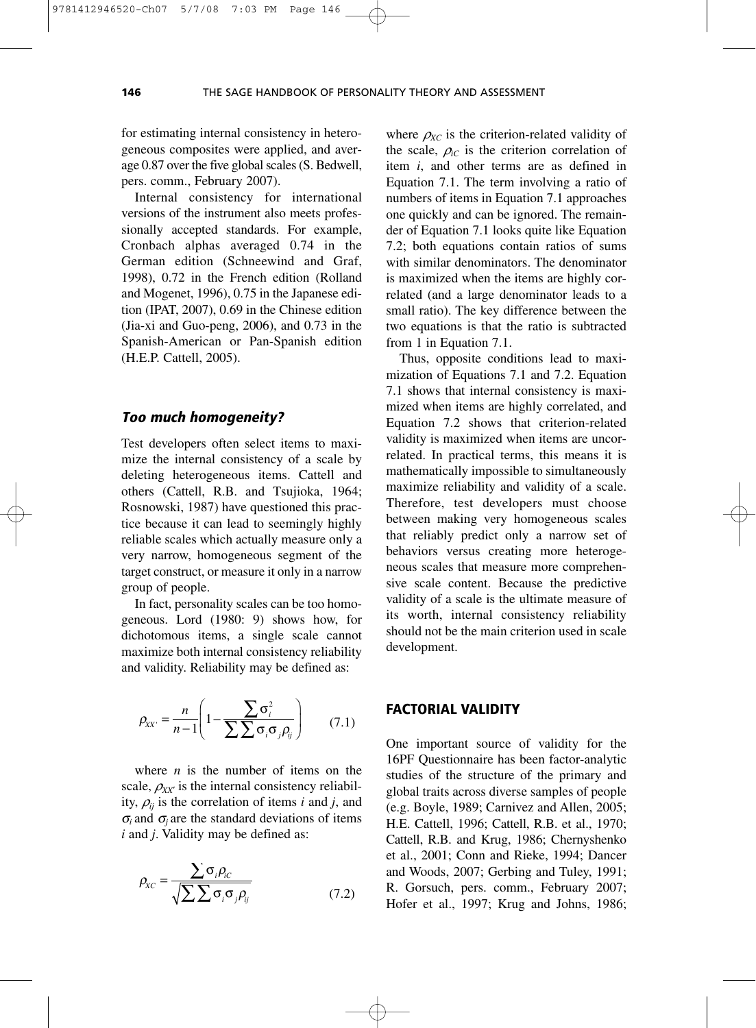for estimating internal consistency in heterogeneous composites were applied, and average 0.87 over the five global scales (S. Bedwell, pers. comm., February 2007).

Internal consistency for international versions of the instrument also meets professionally accepted standards. For example, Cronbach alphas averaged 0.74 in the German edition (Schneewind and Graf, 1998), 0.72 in the French edition (Rolland and Mogenet, 1996), 0.75 in the Japanese edition (IPAT, 2007), 0.69 in the Chinese edition (Jia-xi and Guo-peng, 2006), and 0.73 in the Spanish-American or Pan-Spanish edition (H.E.P. Cattell, 2005).

#### **Too much homogeneity?**

Test developers often select items to maximize the internal consistency of a scale by deleting heterogeneous items. Cattell and others (Cattell, R.B. and Tsujioka, 1964; Rosnowski, 1987) have questioned this practice because it can lead to seemingly highly reliable scales which actually measure only a very narrow, homogeneous segment of the target construct, or measure it only in a narrow group of people.

In fact, personality scales can be too homogeneous. Lord (1980: 9) shows how, for dichotomous items, a single scale cannot maximize both internal consistency reliability and validity. Reliability may be defined as:

$$
\rho_{XX'} = \frac{n}{n-1} \left( 1 - \frac{\sum \sigma_i^2}{\sum \sum \sigma_i \sigma_j \rho_{ij}} \right) \tag{7.1}
$$

where *n* is the number of items on the scale,  $\rho_{XX'}$  is the internal consistency reliability,  $\rho_{ii}$  is the correlation of items *i* and *j*, and  $\sigma_i$  and  $\sigma_j$  are the standard deviations of items *i* and *j*. Validity may be defined as:

$$
\rho_{xc} = \frac{\sum \sigma_i \rho_{ic}}{\sqrt{\sum \sum \sigma_i \sigma_j \rho_{ij}}} \tag{7.2}
$$

where  $\rho_{XC}$  is the criterion-related validity of the scale,  $\rho_{iC}$  is the criterion correlation of item *i*, and other terms are as defined in Equation 7.1. The term involving a ratio of numbers of items in Equation 7.1 approaches one quickly and can be ignored. The remainder of Equation 7.1 looks quite like Equation 7.2; both equations contain ratios of sums with similar denominators. The denominator is maximized when the items are highly correlated (and a large denominator leads to a small ratio). The key difference between the two equations is that the ratio is subtracted from 1 in Equation 7.1.

Thus, opposite conditions lead to maximization of Equations 7.1 and 7.2. Equation 7.1 shows that internal consistency is maximized when items are highly correlated, and Equation 7.2 shows that criterion-related validity is maximized when items are uncorrelated. In practical terms, this means it is mathematically impossible to simultaneously maximize reliability and validity of a scale. Therefore, test developers must choose between making very homogeneous scales that reliably predict only a narrow set of behaviors versus creating more heterogeneous scales that measure more comprehensive scale content. Because the predictive validity of a scale is the ultimate measure of its worth, internal consistency reliability should not be the main criterion used in scale development.

#### **FACTORIAL VALIDITY**

One important source of validity for the 16PF Questionnaire has been factor-analytic studies of the structure of the primary and global traits across diverse samples of people (e.g. Boyle, 1989; Carnivez and Allen, 2005; H.E. Cattell, 1996; Cattell, R.B. et al., 1970; Cattell, R.B. and Krug, 1986; Chernyshenko et al., 2001; Conn and Rieke, 1994; Dancer and Woods, 2007; Gerbing and Tuley, 1991; R. Gorsuch, pers. comm., February 2007; Hofer et al., 1997; Krug and Johns, 1986;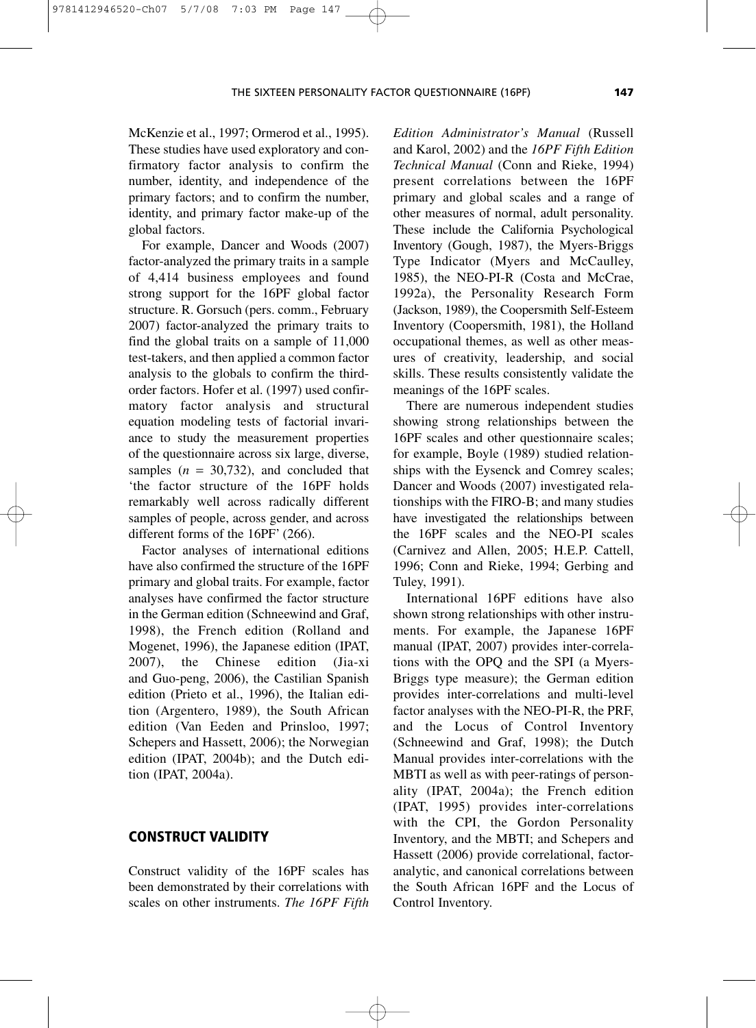McKenzie et al., 1997; Ormerod et al., 1995). These studies have used exploratory and confirmatory factor analysis to confirm the number, identity, and independence of the primary factors; and to confirm the number, identity, and primary factor make-up of the global factors.

For example, Dancer and Woods (2007) factor-analyzed the primary traits in a sample of 4,414 business employees and found strong support for the 16PF global factor structure. R. Gorsuch (pers. comm., February 2007) factor-analyzed the primary traits to find the global traits on a sample of 11,000 test-takers, and then applied a common factor analysis to the globals to confirm the thirdorder factors. Hofer et al. (1997) used confirmatory factor analysis and structural equation modeling tests of factorial invariance to study the measurement properties of the questionnaire across six large, diverse, samples  $(n = 30,732)$ , and concluded that 'the factor structure of the 16PF holds remarkably well across radically different samples of people, across gender, and across different forms of the 16PF' (266).

Factor analyses of international editions have also confirmed the structure of the 16PF primary and global traits. For example, factor analyses have confirmed the factor structure in the German edition (Schneewind and Graf, 1998), the French edition (Rolland and Mogenet, 1996), the Japanese edition (IPAT, 2007), the Chinese edition (Jia-xi and Guo-peng, 2006), the Castilian Spanish edition (Prieto et al., 1996), the Italian edition (Argentero, 1989), the South African edition (Van Eeden and Prinsloo, 1997; Schepers and Hassett, 2006); the Norwegian edition (IPAT, 2004b); and the Dutch edition (IPAT, 2004a).

#### **CONSTRUCT VALIDITY**

Construct validity of the 16PF scales has been demonstrated by their correlations with scales on other instruments. *The 16PF Fifth* *Edition Administrator's Manual* (Russell and Karol, 2002) and the *16PF Fifth Edition Technical Manual* (Conn and Rieke, 1994) present correlations between the 16PF primary and global scales and a range of other measures of normal, adult personality. These include the California Psychological Inventory (Gough, 1987), the Myers-Briggs Type Indicator (Myers and McCaulley, 1985), the NEO-PI-R (Costa and McCrae, 1992a), the Personality Research Form (Jackson, 1989), the Coopersmith Self-Esteem Inventory (Coopersmith, 1981), the Holland occupational themes, as well as other measures of creativity, leadership, and social skills. These results consistently validate the meanings of the 16PF scales.

There are numerous independent studies showing strong relationships between the 16PF scales and other questionnaire scales; for example, Boyle (1989) studied relationships with the Eysenck and Comrey scales; Dancer and Woods (2007) investigated relationships with the FIRO-B; and many studies have investigated the relationships between the 16PF scales and the NEO-PI scales (Carnivez and Allen, 2005; H.E.P. Cattell, 1996; Conn and Rieke, 1994; Gerbing and Tuley, 1991).

International 16PF editions have also shown strong relationships with other instruments. For example, the Japanese 16PF manual (IPAT, 2007) provides inter-correlations with the OPQ and the SPI (a Myers-Briggs type measure); the German edition provides inter-correlations and multi-level factor analyses with the NEO-PI-R, the PRF, and the Locus of Control Inventory (Schneewind and Graf, 1998); the Dutch Manual provides inter-correlations with the MBTI as well as with peer-ratings of personality (IPAT, 2004a); the French edition (IPAT, 1995) provides inter-correlations with the CPI, the Gordon Personality Inventory, and the MBTI; and Schepers and Hassett (2006) provide correlational, factoranalytic, and canonical correlations between the South African 16PF and the Locus of Control Inventory.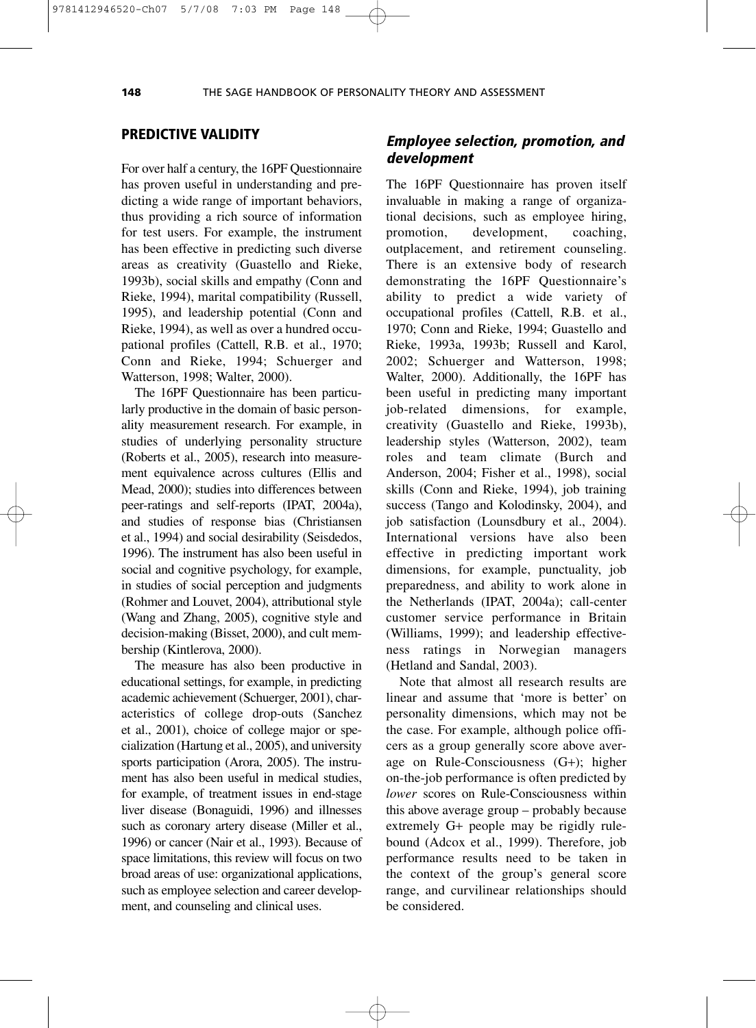#### **PREDICTIVE VALIDITY**

For over half a century, the 16PF Questionnaire has proven useful in understanding and predicting a wide range of important behaviors, thus providing a rich source of information for test users. For example, the instrument has been effective in predicting such diverse areas as creativity (Guastello and Rieke, 1993b), social skills and empathy (Conn and Rieke, 1994), marital compatibility (Russell, 1995), and leadership potential (Conn and Rieke, 1994), as well as over a hundred occupational profiles (Cattell, R.B. et al., 1970; Conn and Rieke, 1994; Schuerger and Watterson, 1998; Walter, 2000).

The 16PF Questionnaire has been particularly productive in the domain of basic personality measurement research. For example, in studies of underlying personality structure (Roberts et al., 2005), research into measurement equivalence across cultures (Ellis and Mead, 2000); studies into differences between peer-ratings and self-reports (IPAT, 2004a), and studies of response bias (Christiansen et al., 1994) and social desirability (Seisdedos, 1996). The instrument has also been useful in social and cognitive psychology, for example, in studies of social perception and judgments (Rohmer and Louvet, 2004), attributional style (Wang and Zhang, 2005), cognitive style and decision-making (Bisset, 2000), and cult membership (Kintlerova, 2000).

The measure has also been productive in educational settings, for example, in predicting academic achievement (Schuerger, 2001), characteristics of college drop-outs (Sanchez et al., 2001), choice of college major or specialization (Hartung et al., 2005), and university sports participation (Arora, 2005). The instrument has also been useful in medical studies, for example, of treatment issues in end-stage liver disease (Bonaguidi, 1996) and illnesses such as coronary artery disease (Miller et al., 1996) or cancer (Nair et al., 1993). Because of space limitations, this review will focus on two broad areas of use: organizational applications, such as employee selection and career development, and counseling and clinical uses.

# **Employee selection, promotion, and development**

The 16PF Questionnaire has proven itself invaluable in making a range of organizational decisions, such as employee hiring, promotion, development, coaching, outplacement, and retirement counseling. There is an extensive body of research demonstrating the 16PF Questionnaire's ability to predict a wide variety of occupational profiles (Cattell, R.B. et al., 1970; Conn and Rieke, 1994; Guastello and Rieke, 1993a, 1993b; Russell and Karol, 2002; Schuerger and Watterson, 1998; Walter, 2000). Additionally, the 16PF has been useful in predicting many important job-related dimensions, for example, creativity (Guastello and Rieke, 1993b), leadership styles (Watterson, 2002), team roles and team climate (Burch and Anderson, 2004; Fisher et al., 1998), social skills (Conn and Rieke, 1994), job training success (Tango and Kolodinsky, 2004), and job satisfaction (Lounsdbury et al., 2004). International versions have also been effective in predicting important work dimensions, for example, punctuality, job preparedness, and ability to work alone in the Netherlands (IPAT, 2004a); call-center customer service performance in Britain (Williams, 1999); and leadership effectiveness ratings in Norwegian managers (Hetland and Sandal, 2003).

Note that almost all research results are linear and assume that 'more is better' on personality dimensions, which may not be the case. For example, although police officers as a group generally score above average on Rule-Consciousness (G+); higher on-the-job performance is often predicted by *lower* scores on Rule-Consciousness within this above average group – probably because extremely G+ people may be rigidly rulebound (Adcox et al., 1999). Therefore, job performance results need to be taken in the context of the group's general score range, and curvilinear relationships should be considered.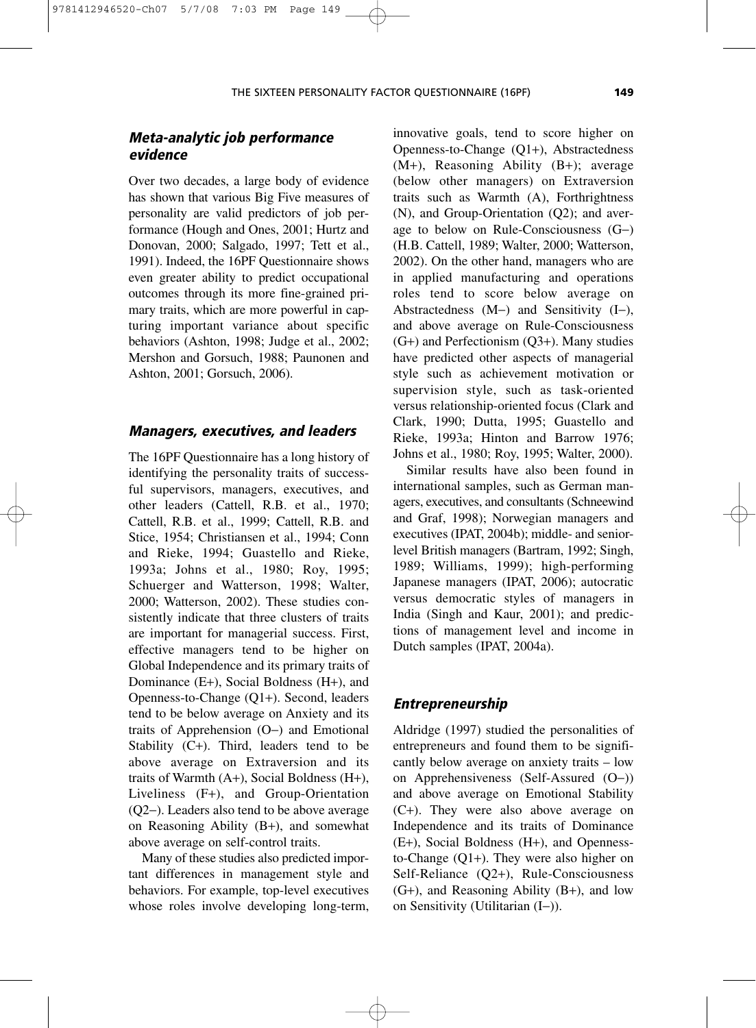# **Meta-analytic job performance evidence**

Over two decades, a large body of evidence has shown that various Big Five measures of personality are valid predictors of job performance (Hough and Ones, 2001; Hurtz and Donovan, 2000; Salgado, 1997; Tett et al., 1991). Indeed, the 16PF Questionnaire shows even greater ability to predict occupational outcomes through its more fine-grained primary traits, which are more powerful in capturing important variance about specific behaviors (Ashton, 1998; Judge et al., 2002; Mershon and Gorsuch, 1988; Paunonen and Ashton, 2001; Gorsuch, 2006).

#### **Managers, executives, and leaders**

The 16PF Questionnaire has a long history of identifying the personality traits of successful supervisors, managers, executives, and other leaders (Cattell, R.B. et al., 1970; Cattell, R.B. et al., 1999; Cattell, R.B. and Stice, 1954; Christiansen et al., 1994; Conn and Rieke, 1994; Guastello and Rieke, 1993a; Johns et al., 1980; Roy, 1995; Schuerger and Watterson, 1998; Walter, 2000; Watterson, 2002). These studies consistently indicate that three clusters of traits are important for managerial success. First, effective managers tend to be higher on Global Independence and its primary traits of Dominance (E+), Social Boldness (H+), and Openness-to-Change (Q1+). Second, leaders tend to be below average on Anxiety and its traits of Apprehension (O−) and Emotional Stability (C+). Third, leaders tend to be above average on Extraversion and its traits of Warmth (A+), Social Boldness (H+), Liveliness (F+), and Group-Orientation (Q2−). Leaders also tend to be above average on Reasoning Ability (B+), and somewhat above average on self-control traits.

Many of these studies also predicted important differences in management style and behaviors. For example, top-level executives whose roles involve developing long-term, innovative goals, tend to score higher on Openness-to-Change (Q1+), Abstractedness (M+), Reasoning Ability (B+); average (below other managers) on Extraversion traits such as Warmth (A), Forthrightness (N), and Group-Orientation (Q2); and average to below on Rule-Consciousness (G−) (H.B. Cattell, 1989; Walter, 2000; Watterson, 2002). On the other hand, managers who are in applied manufacturing and operations roles tend to score below average on Abstractedness (M−) and Sensitivity (I−), and above average on Rule-Consciousness (G+) and Perfectionism (Q3+). Many studies have predicted other aspects of managerial style such as achievement motivation or supervision style, such as task-oriented versus relationship-oriented focus (Clark and Clark, 1990; Dutta, 1995; Guastello and Rieke, 1993a; Hinton and Barrow 1976; Johns et al., 1980; Roy, 1995; Walter, 2000).

Similar results have also been found in international samples, such as German managers, executives, and consultants (Schneewind and Graf, 1998); Norwegian managers and executives (IPAT, 2004b); middle- and seniorlevel British managers (Bartram, 1992; Singh, 1989; Williams, 1999); high-performing Japanese managers (IPAT, 2006); autocratic versus democratic styles of managers in India (Singh and Kaur, 2001); and predictions of management level and income in Dutch samples (IPAT, 2004a).

#### **Entrepreneurship**

Aldridge (1997) studied the personalities of entrepreneurs and found them to be significantly below average on anxiety traits – low on Apprehensiveness (Self-Assured (O−)) and above average on Emotional Stability (C+). They were also above average on Independence and its traits of Dominance (E+), Social Boldness (H+), and Opennessto-Change (Q1+). They were also higher on Self-Reliance (Q2+), Rule-Consciousness (G+), and Reasoning Ability (B+), and low on Sensitivity (Utilitarian (I−)).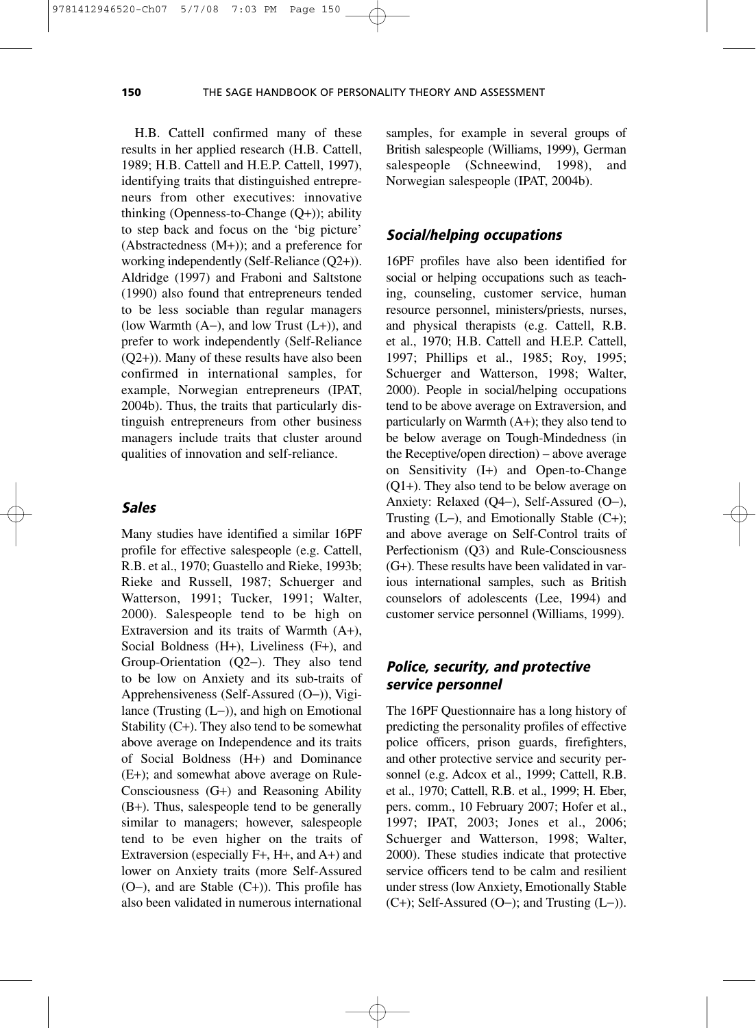H.B. Cattell confirmed many of these results in her applied research (H.B. Cattell, 1989; H.B. Cattell and H.E.P. Cattell, 1997), identifying traits that distinguished entrepreneurs from other executives: innovative thinking (Openness-to-Change (Q+)); ability to step back and focus on the 'big picture' (Abstractedness (M+)); and a preference for working independently (Self-Reliance (Q2+)). Aldridge (1997) and Fraboni and Saltstone (1990) also found that entrepreneurs tended to be less sociable than regular managers (low Warmth (A−), and low Trust (L+)), and prefer to work independently (Self-Reliance (Q2+)). Many of these results have also been confirmed in international samples, for example, Norwegian entrepreneurs (IPAT, 2004b). Thus, the traits that particularly distinguish entrepreneurs from other business managers include traits that cluster around qualities of innovation and self-reliance.

#### **Sales**

Many studies have identified a similar 16PF profile for effective salespeople (e.g. Cattell, R.B. et al., 1970; Guastello and Rieke, 1993b; Rieke and Russell, 1987; Schuerger and Watterson, 1991; Tucker, 1991; Walter, 2000). Salespeople tend to be high on Extraversion and its traits of Warmth (A+), Social Boldness (H+), Liveliness (F+), and Group-Orientation (Q2−). They also tend to be low on Anxiety and its sub-traits of Apprehensiveness (Self-Assured (O−)), Vigilance (Trusting (L−)), and high on Emotional Stability (C+). They also tend to be somewhat above average on Independence and its traits of Social Boldness (H+) and Dominance (E+); and somewhat above average on Rule-Consciousness (G+) and Reasoning Ability (B+). Thus, salespeople tend to be generally similar to managers; however, salespeople tend to be even higher on the traits of Extraversion (especially F+, H+, and A+) and lower on Anxiety traits (more Self-Assured (O−), and are Stable (C+)). This profile has also been validated in numerous international

samples, for example in several groups of British salespeople (Williams, 1999), German salespeople (Schneewind, 1998), and Norwegian salespeople (IPAT, 2004b).

#### **Social/helping occupations**

16PF profiles have also been identified for social or helping occupations such as teaching, counseling, customer service, human resource personnel, ministers/priests, nurses, and physical therapists (e.g. Cattell, R.B. et al., 1970; H.B. Cattell and H.E.P. Cattell, 1997; Phillips et al., 1985; Roy, 1995; Schuerger and Watterson, 1998; Walter, 2000). People in social/helping occupations tend to be above average on Extraversion, and particularly on Warmth (A+); they also tend to be below average on Tough-Mindedness (in the Receptive/open direction) – above average on Sensitivity (I+) and Open-to-Change (Q1+). They also tend to be below average on Anxiety: Relaxed (Q4−), Self-Assured (O−), Trusting (L−), and Emotionally Stable (C+); and above average on Self-Control traits of Perfectionism (Q3) and Rule-Consciousness (G+). These results have been validated in various international samples, such as British counselors of adolescents (Lee, 1994) and customer service personnel (Williams, 1999).

# **Police, security, and protective service personnel**

The 16PF Questionnaire has a long history of predicting the personality profiles of effective police officers, prison guards, firefighters, and other protective service and security personnel (e.g. Adcox et al., 1999; Cattell, R.B. et al., 1970; Cattell, R.B. et al., 1999; H. Eber, pers. comm., 10 February 2007; Hofer et al., 1997; IPAT, 2003; Jones et al., 2006; Schuerger and Watterson, 1998; Walter, 2000). These studies indicate that protective service officers tend to be calm and resilient under stress (low Anxiety, Emotionally Stable (C+); Self-Assured (O−); and Trusting (L−)).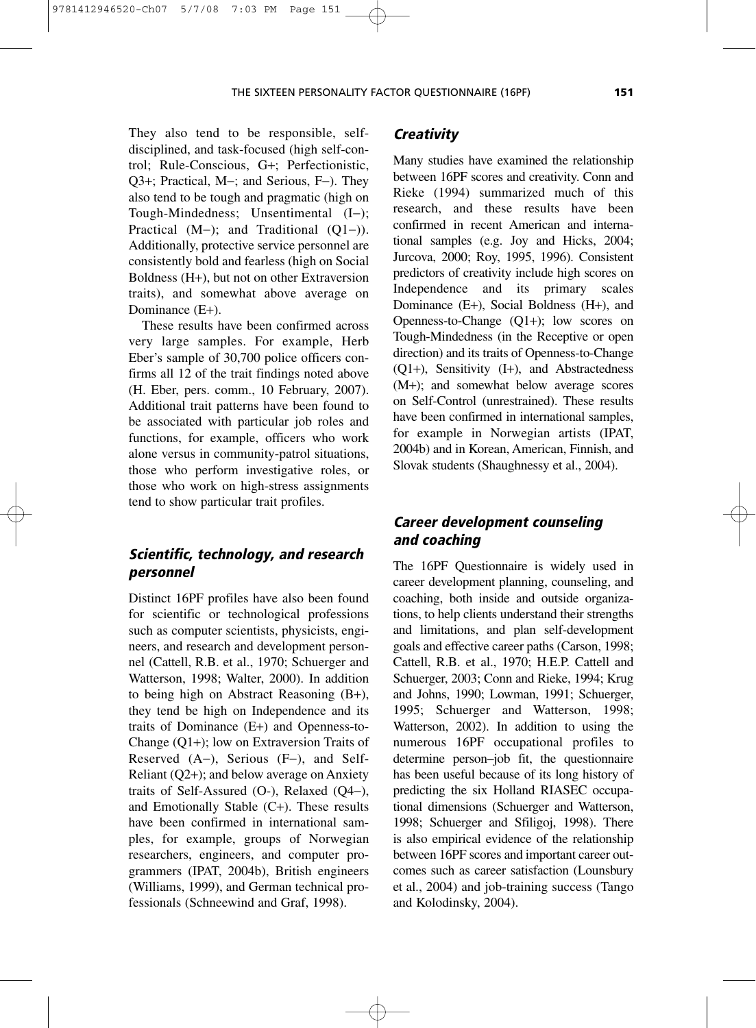They also tend to be responsible, selfdisciplined, and task-focused (high self-control; Rule-Conscious, G+; Perfectionistic, Q3+; Practical, M−; and Serious, F−). They also tend to be tough and pragmatic (high on Tough-Mindedness; Unsentimental (I−); Practical (M−); and Traditional (Q1−)). Additionally, protective service personnel are consistently bold and fearless (high on Social Boldness (H+), but not on other Extraversion traits), and somewhat above average on Dominance (E+).

9781412946520-Ch07 5/7/08 7:03 PM Page 151

These results have been confirmed across very large samples. For example, Herb Eber's sample of 30,700 police officers confirms all 12 of the trait findings noted above (H. Eber, pers. comm., 10 February, 2007). Additional trait patterns have been found to be associated with particular job roles and functions, for example, officers who work alone versus in community-patrol situations, those who perform investigative roles, or those who work on high-stress assignments tend to show particular trait profiles.

# **Scientific, technology, and research personnel**

Distinct 16PF profiles have also been found for scientific or technological professions such as computer scientists, physicists, engineers, and research and development personnel (Cattell, R.B. et al., 1970; Schuerger and Watterson, 1998; Walter, 2000). In addition to being high on Abstract Reasoning (B+), they tend be high on Independence and its traits of Dominance (E+) and Openness-to-Change (Q1+); low on Extraversion Traits of Reserved (A−), Serious (F−), and Self-Reliant (Q2+); and below average on Anxiety traits of Self-Assured (O-), Relaxed (Q4−), and Emotionally Stable  $(C+)$ . These results have been confirmed in international samples, for example, groups of Norwegian researchers, engineers, and computer programmers (IPAT, 2004b), British engineers (Williams, 1999), and German technical professionals (Schneewind and Graf, 1998).

#### **Creativity**

Many studies have examined the relationship between 16PF scores and creativity. Conn and Rieke (1994) summarized much of this research, and these results have been confirmed in recent American and international samples (e.g. Joy and Hicks, 2004; Jurcova, 2000; Roy, 1995, 1996). Consistent predictors of creativity include high scores on Independence and its primary scales Dominance (E+), Social Boldness (H+), and Openness-to-Change (Q1+); low scores on Tough-Mindedness (in the Receptive or open direction) and its traits of Openness-to-Change (Q1+), Sensitivity (I+), and Abstractedness (M+); and somewhat below average scores on Self-Control (unrestrained). These results have been confirmed in international samples, for example in Norwegian artists (IPAT, 2004b) and in Korean, American, Finnish, and Slovak students (Shaughnessy et al., 2004).

# **Career development counseling and coaching**

The 16PF Questionnaire is widely used in career development planning, counseling, and coaching, both inside and outside organizations, to help clients understand their strengths and limitations, and plan self-development goals and effective career paths (Carson, 1998; Cattell, R.B. et al., 1970; H.E.P. Cattell and Schuerger, 2003; Conn and Rieke, 1994; Krug and Johns, 1990; Lowman, 1991; Schuerger, 1995; Schuerger and Watterson, 1998; Watterson, 2002). In addition to using the numerous 16PF occupational profiles to determine person–job fit, the questionnaire has been useful because of its long history of predicting the six Holland RIASEC occupational dimensions (Schuerger and Watterson, 1998; Schuerger and Sfiligoj, 1998). There is also empirical evidence of the relationship between 16PF scores and important career outcomes such as career satisfaction (Lounsbury et al., 2004) and job-training success (Tango and Kolodinsky, 2004).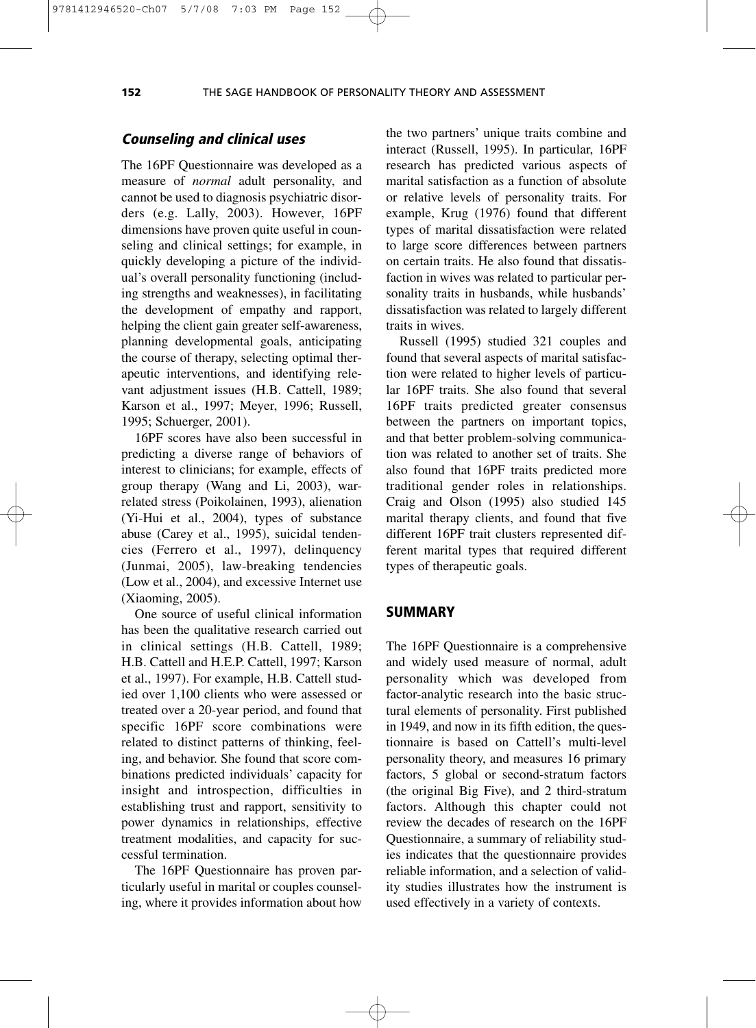#### 9781412946520-Ch07 5/7/08 7:03 PM Page 152

#### **Counseling and clinical uses**

The 16PF Questionnaire was developed as a measure of *normal* adult personality, and cannot be used to diagnosis psychiatric disorders (e.g. Lally, 2003). However, 16PF dimensions have proven quite useful in counseling and clinical settings; for example, in quickly developing a picture of the individual's overall personality functioning (including strengths and weaknesses), in facilitating the development of empathy and rapport, helping the client gain greater self-awareness, planning developmental goals, anticipating the course of therapy, selecting optimal therapeutic interventions, and identifying relevant adjustment issues (H.B. Cattell, 1989; Karson et al., 1997; Meyer, 1996; Russell, 1995; Schuerger, 2001).

16PF scores have also been successful in predicting a diverse range of behaviors of interest to clinicians; for example, effects of group therapy (Wang and Li, 2003), warrelated stress (Poikolainen, 1993), alienation (Yi-Hui et al., 2004), types of substance abuse (Carey et al., 1995), suicidal tendencies (Ferrero et al., 1997), delinquency (Junmai, 2005), law-breaking tendencies (Low et al., 2004), and excessive Internet use (Xiaoming, 2005).

One source of useful clinical information has been the qualitative research carried out in clinical settings (H.B. Cattell, 1989; H.B. Cattell and H.E.P. Cattell, 1997; Karson et al., 1997). For example, H.B. Cattell studied over 1,100 clients who were assessed or treated over a 20-year period, and found that specific 16PF score combinations were related to distinct patterns of thinking, feeling, and behavior. She found that score combinations predicted individuals' capacity for insight and introspection, difficulties in establishing trust and rapport, sensitivity to power dynamics in relationships, effective treatment modalities, and capacity for successful termination.

The 16PF Questionnaire has proven particularly useful in marital or couples counseling, where it provides information about how the two partners' unique traits combine and interact (Russell, 1995). In particular, 16PF research has predicted various aspects of marital satisfaction as a function of absolute or relative levels of personality traits. For example, Krug (1976) found that different types of marital dissatisfaction were related to large score differences between partners on certain traits. He also found that dissatisfaction in wives was related to particular personality traits in husbands, while husbands' dissatisfaction was related to largely different traits in wives.

Russell (1995) studied 321 couples and found that several aspects of marital satisfaction were related to higher levels of particular 16PF traits. She also found that several 16PF traits predicted greater consensus between the partners on important topics, and that better problem-solving communication was related to another set of traits. She also found that 16PF traits predicted more traditional gender roles in relationships. Craig and Olson (1995) also studied 145 marital therapy clients, and found that five different 16PF trait clusters represented different marital types that required different types of therapeutic goals.

#### **SUMMARY**

The 16PF Questionnaire is a comprehensive and widely used measure of normal, adult personality which was developed from factor-analytic research into the basic structural elements of personality. First published in 1949, and now in its fifth edition, the questionnaire is based on Cattell's multi-level personality theory, and measures 16 primary factors, 5 global or second-stratum factors (the original Big Five), and 2 third-stratum factors. Although this chapter could not review the decades of research on the 16PF Questionnaire, a summary of reliability studies indicates that the questionnaire provides reliable information, and a selection of validity studies illustrates how the instrument is used effectively in a variety of contexts.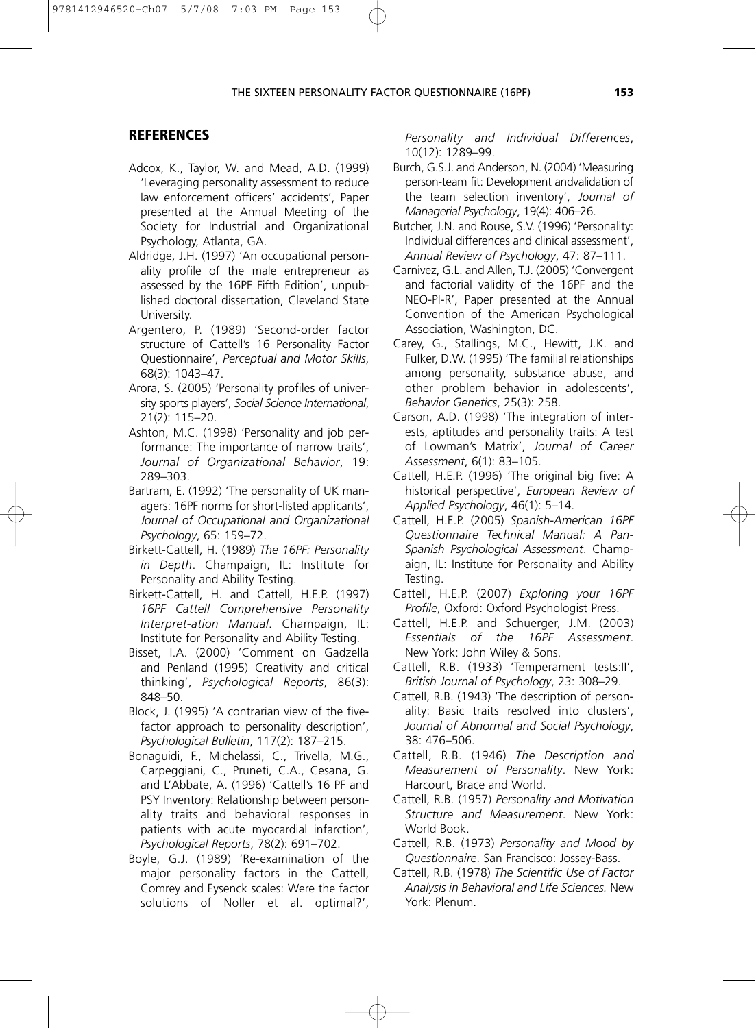#### THE SIXTEEN PERSONALITY FACTOR QUESTIONNAIRE (16PF) **153**

#### **REFERENCES**

- Adcox, K., Taylor, W. and Mead, A.D. (1999) 'Leveraging personality assessment to reduce law enforcement officers' accidents', Paper presented at the Annual Meeting of the Society for Industrial and Organizational Psychology, Atlanta, GA.
- Aldridge, J.H. (1997) 'An occupational personality profile of the male entrepreneur as assessed by the 16PF Fifth Edition', unpublished doctoral dissertation, Cleveland State University.
- Argentero, P. (1989) 'Second-order factor structure of Cattell's 16 Personality Factor Questionnaire', *Perceptual and Motor Skills*, 68(3): 1043–47.
- Arora, S. (2005) 'Personality profiles of university sports players', *Social Science International*, 21(2): 115–20.
- Ashton, M.C. (1998) 'Personality and job performance: The importance of narrow traits', *Journal of Organizational Behavior*, 19: 289–303.
- Bartram, E. (1992) 'The personality of UK managers: 16PF norms for short-listed applicants', *Journal of Occupational and Organizational Psychology*, 65: 159–72.
- Birkett-Cattell, H. (1989) *The 16PF: Personality in Depth*. Champaign, IL: Institute for Personality and Ability Testing.
- Birkett-Cattell, H. and Cattell, H.E.P. (1997) *16PF Cattell Comprehensive Personality Interpret-ation Manual*. Champaign, IL: Institute for Personality and Ability Testing.
- Bisset, I.A. (2000) 'Comment on Gadzella and Penland (1995) Creativity and critical thinking', *Psychological Reports*, 86(3): 848–50.
- Block, J. (1995) 'A contrarian view of the fivefactor approach to personality description', *Psychological Bulletin*, 117(2): 187–215.
- Bonaguidi, F., Michelassi, C., Trivella, M.G., Carpeggiani, C., Pruneti, C.A., Cesana, G. and L'Abbate, A. (1996) 'Cattell's 16 PF and PSY Inventory: Relationship between personality traits and behavioral responses in patients with acute myocardial infarction', *Psychological Reports*, 78(2): 691–702.
- Boyle, G.J. (1989) 'Re-examination of the major personality factors in the Cattell, Comrey and Eysenck scales: Were the factor solutions of Noller et al. optimal?',

*Personality and Individual Differences*, 10(12): 1289–99.

- Burch, G.S.J. and Anderson, N. (2004) 'Measuring person-team fit: Development andvalidation of the team selection inventory', *Journal of Managerial Psychology*, 19(4): 406–26.
- Butcher, J.N. and Rouse, S.V. (1996) 'Personality: Individual differences and clinical assessment', *Annual Review of Psychology*, 47: 87–111.
- Carnivez, G.L. and Allen, T.J. (2005) 'Convergent and factorial validity of the 16PF and the NEO-PI-R', Paper presented at the Annual Convention of the American Psychological Association, Washington, DC.
- Carey, G., Stallings, M.C., Hewitt, J.K. and Fulker, D.W. (1995) 'The familial relationships among personality, substance abuse, and other problem behavior in adolescents', *Behavior Genetics*, 25(3): 258.
- Carson, A.D. (1998) 'The integration of interests, aptitudes and personality traits: A test of Lowman's Matrix', *Journal of Career Assessment*, 6(1): 83–105.
- Cattell, H.E.P. (1996) 'The original big five: A historical perspective', *European Review of Applied Psychology*, 46(1): 5–14.
- Cattell, H.E.P. (2005) *Spanish-American 16PF Questionnaire Technical Manual: A Pan-Spanish Psychological Assessment*. Champaign, IL: Institute for Personality and Ability Testing.
- Cattell, H.E.P. (2007) *Exploring your 16PF Profile*, Oxford: Oxford Psychologist Press.
- Cattell, H.E.P. and Schuerger, J.M. (2003) *Essentials of the 16PF Assessment*. New York: John Wiley & Sons.
- Cattell, R.B. (1933) 'Temperament tests:II', *British Journal of Psychology*, 23: 308–29.
- Cattell, R.B. (1943) 'The description of personality: Basic traits resolved into clusters', *Journal of Abnormal and Social Psychology*, 38: 476–506.
- Cattell, R.B. (1946) *The Description and Measurement of Personality*. New York: Harcourt, Brace and World.
- Cattell, R.B. (1957) *Personality and Motivation Structure and Measurement*. New York: World Book.
- Cattell, R.B. (1973) *Personality and Mood by Questionnaire*. San Francisco: Jossey-Bass.
- Cattell, R.B. (1978) *The Scientific Use of Factor Analysis in Behavioral and Life Sciences.* New York: Plenum.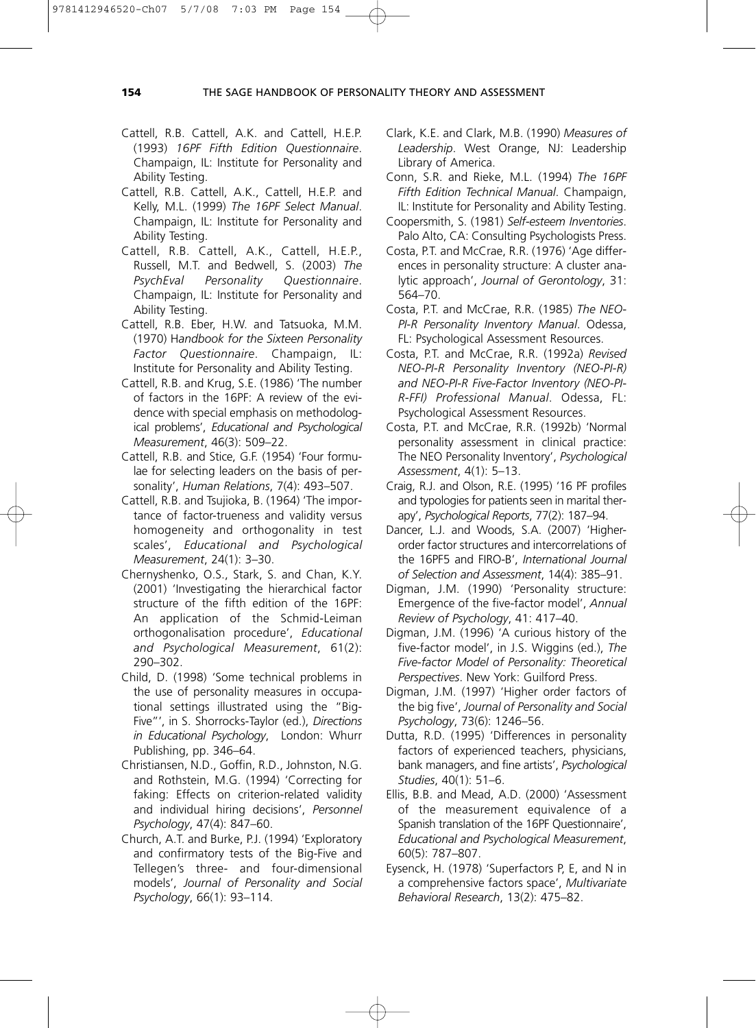- Cattell, R.B. Cattell, A.K. and Cattell, H.E.P. (1993) *16PF Fifth Edition Questionnaire*. Champaign, IL: Institute for Personality and Ability Testing.
- Cattell, R.B. Cattell, A.K., Cattell, H.E.P. and Kelly, M.L. (1999) *The 16PF Select Manual*. Champaign, IL: Institute for Personality and Ability Testing.
- Cattell, R.B. Cattell, A.K., Cattell, H.E.P., Russell, M.T. and Bedwell, S. (2003) *The PsychEval Personality Questionnaire*. Champaign, IL: Institute for Personality and Ability Testing.
- Cattell, R.B. Eber, H.W. and Tatsuoka, M.M. (1970) H*andbook for the Sixteen Personality Factor Questionnaire*. Champaign, IL: Institute for Personality and Ability Testing.
- Cattell, R.B. and Krug, S.E. (1986) 'The number of factors in the 16PF: A review of the evidence with special emphasis on methodological problems', *Educational and Psychological Measurement*, 46(3): 509–22.
- Cattell, R.B. and Stice, G.F. (1954) 'Four formulae for selecting leaders on the basis of personality', *Human Relations*, 7(4): 493–507.
- Cattell, R.B. and Tsujioka, B. (1964) 'The importance of factor-trueness and validity versus homogeneity and orthogonality in test scales', *Educational and Psychological Measurement*, 24(1): 3–30.
- Chernyshenko, O.S., Stark, S. and Chan, K.Y. (2001) 'Investigating the hierarchical factor structure of the fifth edition of the 16PF: An application of the Schmid-Leiman orthogonalisation procedure', *Educational and Psychological Measurement*, 61(2): 290–302.
- Child, D. (1998) 'Some technical problems in the use of personality measures in occupational settings illustrated using the "Big-Five"', in S. Shorrocks-Taylor (ed.), *Directions in Educational Psychology*, London: Whurr Publishing, pp. 346–64.
- Christiansen, N.D., Goffin, R.D., Johnston, N.G. and Rothstein, M.G. (1994) 'Correcting for faking: Effects on criterion-related validity and individual hiring decisions', *Personnel Psychology*, 47(4): 847–60.
- Church, A.T. and Burke, P.J. (1994) 'Exploratory and confirmatory tests of the Big-Five and Tellegen's three- and four-dimensional models', *Journal of Personality and Social Psychology*, 66(1): 93–114.
- Clark, K.E. and Clark, M.B. (1990) *Measures of Leadership*. West Orange, NJ: Leadership Library of America.
- Conn, S.R. and Rieke, M.L. (1994) *The 16PF Fifth Edition Technical Manual*. Champaign, IL: Institute for Personality and Ability Testing.
- Coopersmith, S. (1981) *Self-esteem Inventories*. Palo Alto, CA: Consulting Psychologists Press.
- Costa, P.T. and McCrae, R.R. (1976) 'Age differences in personality structure: A cluster analytic approach', *Journal of Gerontology*, 31: 564–70.
- Costa, P.T. and McCrae, R.R. (1985) *The NEO-PI-R Personality Inventory Manual*. Odessa, FL: Psychological Assessment Resources.
- Costa, P.T. and McCrae, R.R. (1992a) *Revised NEO-PI-R Personality Inventory (NEO-PI-R) and NEO-PI-R Five-Factor Inventory (NEO-PI-R-FFI) Professional Manual*. Odessa, FL: Psychological Assessment Resources.
- Costa, P.T. and McCrae, R.R. (1992b) 'Normal personality assessment in clinical practice: The NEO Personality Inventory', *Psychological Assessment*, 4(1): 5–13.
- Craig, R.J. and Olson, R.E. (1995) '16 PF profiles and typologies for patients seen in marital therapy', *Psychological Reports*, 77(2): 187–94.
- Dancer, L.J. and Woods, S.A. (2007) 'Higherorder factor structures and intercorrelations of the 16PF5 and FIRO-B', *International Journal of Selection and Assessment*, 14(4): 385–91.
- Digman, J.M. (1990) 'Personality structure: Emergence of the five-factor model', *Annual Review of Psychology*, 41: 417–40.
- Digman, J.M. (1996) 'A curious history of the five-factor model', in J.S. Wiggins (ed.), *The Five-factor Model of Personality: Theoretical Perspectives*. New York: Guilford Press.
- Digman, J.M. (1997) 'Higher order factors of the big five', *Journal of Personality and Social Psychology*, 73(6): 1246–56.
- Dutta, R.D. (1995) 'Differences in personality factors of experienced teachers, physicians, bank managers, and fine artists', *Psychological Studies*, 40(1): 51–6.
- Ellis, B.B. and Mead, A.D. (2000) 'Assessment of the measurement equivalence of a Spanish translation of the 16PF Questionnaire', *Educational and Psychological Measurement*, 60(5): 787–807.
- Eysenck, H. (1978) 'Superfactors P, E, and N in a comprehensive factors space', *Multivariate Behavioral Research*, 13(2): 475–82.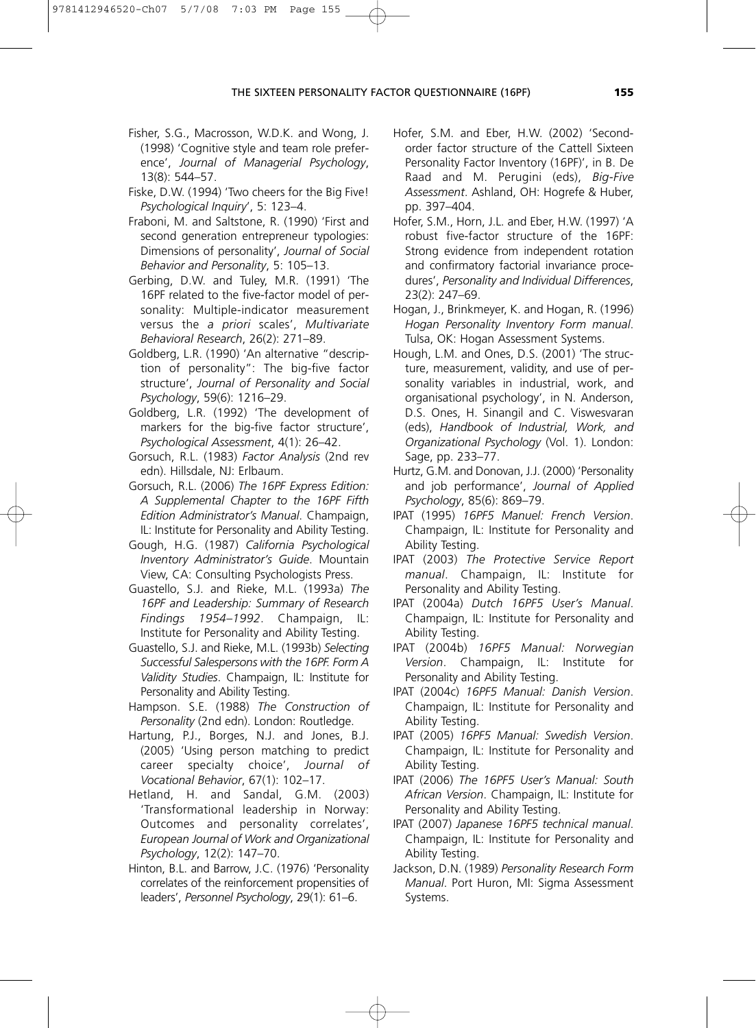- Fisher, S.G., Macrosson, W.D.K. and Wong, J. (1998) 'Cognitive style and team role preference', *Journal of Managerial Psychology*, 13(8): 544–57.
- Fiske, D.W. (1994) 'Two cheers for the Big Five! *Psychological Inquiry*', 5: 123–4.
- Fraboni, M. and Saltstone, R. (1990) 'First and second generation entrepreneur typologies: Dimensions of personality', *Journal of Social Behavior and Personality*, 5: 105–13.
- Gerbing, D.W. and Tuley, M.R. (1991) 'The 16PF related to the five-factor model of personality: Multiple-indicator measurement versus the *a priori* scales', *Multivariate Behavioral Research*, 26(2): 271–89.
- Goldberg, L.R. (1990) 'An alternative "description of personality": The big-five factor structure', *Journal of Personality and Social Psychology*, 59(6): 1216–29.
- Goldberg, L.R. (1992) 'The development of markers for the big-five factor structure', *Psychological Assessment*, 4(1): 26–42.
- Gorsuch, R.L. (1983) *Factor Analysis* (2nd rev edn). Hillsdale, NJ: Erlbaum.
- Gorsuch, R.L. (2006) *The 16PF Express Edition: A Supplemental Chapter to the 16PF Fifth Edition Administrator's Manual*. Champaign, IL: Institute for Personality and Ability Testing.
- Gough, H.G. (1987) *California Psychological Inventory Administrator's Guide*. Mountain View, CA: Consulting Psychologists Press.
- Guastello, S.J. and Rieke, M.L. (1993a) *The 16PF and Leadership: Summary of Research Findings 1954–1992*. Champaign, IL: Institute for Personality and Ability Testing.
- Guastello, S.J. and Rieke, M.L. (1993b) *Selecting Successful Salespersons with the 16PF. Form A Validity Studies*. Champaign, IL: Institute for Personality and Ability Testing.
- Hampson. S.E. (1988) *The Construction of Personality* (2nd edn). London: Routledge.
- Hartung, P.J., Borges, N.J. and Jones, B.J. (2005) 'Using person matching to predict career specialty choice', *Journal of Vocational Behavior*, 67(1): 102–17.
- Hetland, H. and Sandal, G.M. (2003) 'Transformational leadership in Norway: Outcomes and personality correlates', *European Journal of Work and Organizational Psychology*, 12(2): 147–70.
- Hinton, B.L. and Barrow, J.C. (1976) 'Personality correlates of the reinforcement propensities of leaders', *Personnel Psychology*, 29(1): 61–6.
- Hofer, S.M. and Eber, H.W. (2002) 'Secondorder factor structure of the Cattell Sixteen Personality Factor Inventory (16PF)', in B. De Raad and M. Perugini (eds), *Big-Five Assessment*. Ashland, OH: Hogrefe & Huber, pp. 397–404.
- Hofer, S.M., Horn, J.L. and Eber, H.W. (1997) 'A robust five-factor structure of the 16PF: Strong evidence from independent rotation and confirmatory factorial invariance procedures', *Personality and Individual Differences*, 23(2): 247–69.
- Hogan, J., Brinkmeyer, K. and Hogan, R. (1996) *Hogan Personality Inventory Form manual*. Tulsa, OK: Hogan Assessment Systems.
- Hough, L.M. and Ones, D.S. (2001) 'The structure, measurement, validity, and use of personality variables in industrial, work, and organisational psychology', in N. Anderson, D.S. Ones, H. Sinangil and C. Viswesvaran (eds), *Handbook of Industrial, Work, and Organizational Psychology* (Vol. 1). London: Sage, pp. 233–77.
- Hurtz, G.M. and Donovan, J.J. (2000) 'Personality and job performance', *Journal of Applied Psychology*, 85(6): 869–79.
- IPAT (1995) *16PF5 Manuel: French Version*. Champaign, IL: Institute for Personality and Ability Testing.
- IPAT (2003) *The Protective Service Report manual*. Champaign, IL: Institute for Personality and Ability Testing.
- IPAT (2004a) *Dutch 16PF5 User's Manual*. Champaign, IL: Institute for Personality and Ability Testing.
- IPAT (2004b) *16PF5 Manual: Norwegian Version*. Champaign, IL: Institute for Personality and Ability Testing.
- IPAT (2004c) *16PF5 Manual: Danish Version*. Champaign, IL: Institute for Personality and Ability Testing.
- IPAT (2005) *16PF5 Manual: Swedish Version*. Champaign, IL: Institute for Personality and Ability Testing.
- IPAT (2006) *The 16PF5 User's Manual: South African Version*. Champaign, IL: Institute for Personality and Ability Testing.
- IPAT (2007) *Japanese 16PF5 technical manual*. Champaign, IL: Institute for Personality and Ability Testing.
- Jackson, D.N. (1989) *Personality Research Form Manual*. Port Huron, MI: Sigma Assessment Systems.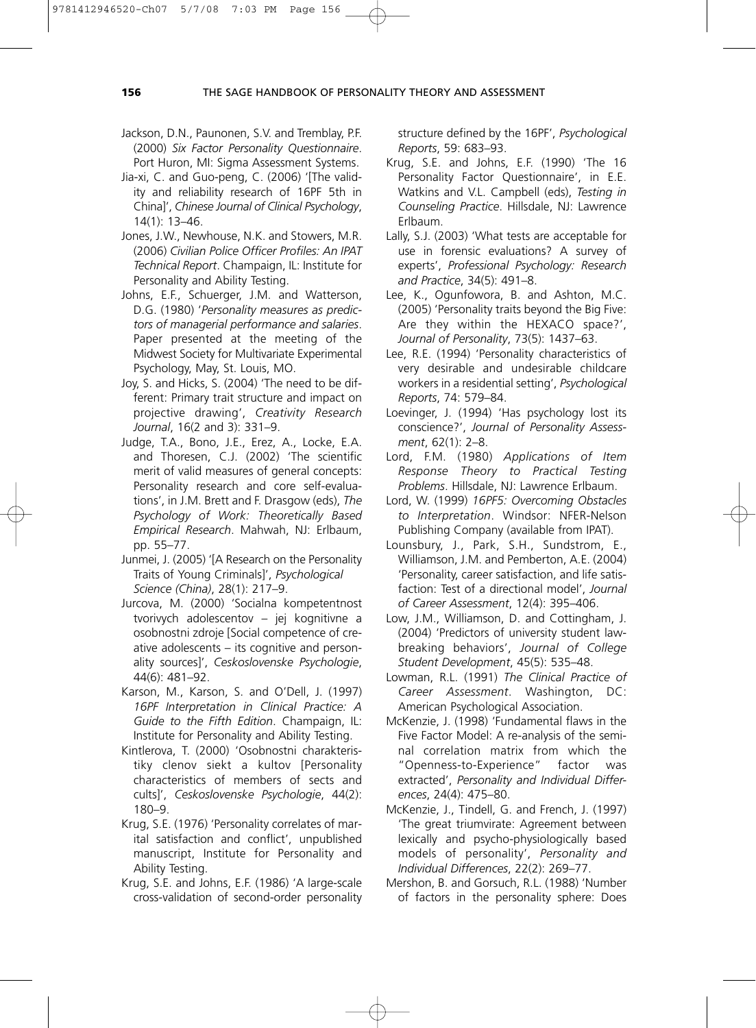#### 9781412946520-Ch07 5/7/08 7:03 PM Page 156

#### **156** THE SAGE HANDBOOK OF PERSONALITY THEORY AND ASSESSMENT

- Jackson, D.N., Paunonen, S.V. and Tremblay, P.F. (2000) *Six Factor Personality Questionnaire*. Port Huron, MI: Sigma Assessment Systems.
- Jia-xi, C. and Guo-peng, C. (2006) '[The validity and reliability research of 16PF 5th in China]', *Chinese Journal of Clinical Psychology*, 14(1): 13–46.
- Jones, J.W., Newhouse, N.K. and Stowers, M.R. (2006) *Civilian Police Officer Profiles: An IPAT Technical Report*. Champaign, IL: Institute for Personality and Ability Testing.
- Johns, E.F., Schuerger, J.M. and Watterson, D.G. (1980) '*Personality measures as predictors of managerial performance and salaries*. Paper presented at the meeting of the Midwest Society for Multivariate Experimental Psychology, May, St. Louis, MO.
- Joy, S. and Hicks, S. (2004) 'The need to be different: Primary trait structure and impact on projective drawing', *Creativity Research Journal*, 16(2 and 3): 331–9.
- Judge, T.A., Bono, J.E., Erez, A., Locke, E.A. and Thoresen, C.J. (2002) 'The scientific merit of valid measures of general concepts: Personality research and core self-evaluations', in J.M. Brett and F. Drasgow (eds), *The Psychology of Work: Theoretically Based Empirical Research*. Mahwah, NJ: Erlbaum, pp. 55–77.
- Junmei, J. (2005) '[A Research on the Personality Traits of Young Criminals]', *Psychological Science (China)*, 28(1): 217–9.
- Jurcova, M. (2000) 'Socialna kompetentnost tvorivych adolescentov – jej kognitivne a osobnostni zdroje [Social competence of creative adolescents – its cognitive and personality sources]', *Ceskoslovenske Psychologie*, 44(6): 481–92.
- Karson, M., Karson, S. and O'Dell, J. (1997) *16PF Interpretation in Clinical Practice: A Guide to the Fifth Edition*. Champaign, IL: Institute for Personality and Ability Testing.
- Kintlerova, T. (2000) 'Osobnostni charakteristiky clenov siekt a kultov [Personality characteristics of members of sects and cults]', *Ceskoslovenske Psychologie*, 44(2): 180–9.
- Krug, S.E. (1976) 'Personality correlates of marital satisfaction and conflict', unpublished manuscript, Institute for Personality and Ability Testing.
- Krug, S.E. and Johns, E.F. (1986) 'A large-scale cross-validation of second-order personality

structure defined by the 16PF', *Psychological Reports*, 59: 683–93.

- Krug, S.E. and Johns, E.F. (1990) 'The 16 Personality Factor Questionnaire', in E.E. Watkins and V.L. Campbell (eds), *Testing in Counseling Practice*. Hillsdale, NJ: Lawrence Erlbaum.
- Lally, S.J. (2003) 'What tests are acceptable for use in forensic evaluations? A survey of experts', *Professional Psychology: Research and Practice*, 34(5): 491–8.
- Lee, K., Ogunfowora, B. and Ashton, M.C. (2005) 'Personality traits beyond the Big Five: Are they within the HEXACO space?', *Journal of Personality*, 73(5): 1437–63.
- Lee, R.E. (1994) 'Personality characteristics of very desirable and undesirable childcare workers in a residential setting', *Psychological Reports*, 74: 579–84.
- Loevinger, J. (1994) 'Has psychology lost its conscience?', *Journal of Personality Assessment*, 62(1): 2–8.
- Lord, F.M. (1980) *Applications of Item Response Theory to Practical Testing Problems*. Hillsdale, NJ: Lawrence Erlbaum.
- Lord, W. (1999) *16PF5: Overcoming Obstacles to Interpretation*. Windsor: NFER-Nelson Publishing Company (available from IPAT).
- Lounsbury, J., Park, S.H., Sundstrom, E., Williamson, J.M. and Pemberton, A.E. (2004) 'Personality, career satisfaction, and life satisfaction: Test of a directional model', *Journal of Career Assessment*, 12(4): 395–406.
- Low, J.M., Williamson, D. and Cottingham, J. (2004) 'Predictors of university student lawbreaking behaviors', *Journal of College Student Development*, 45(5): 535–48.
- Lowman, R.L. (1991) *The Clinical Practice of Career Assessment*. Washington, DC: American Psychological Association.
- McKenzie, J. (1998) 'Fundamental flaws in the Five Factor Model: A re-analysis of the seminal correlation matrix from which the "Openness-to-Experience" factor was extracted', *Personality and Individual Differences*, 24(4): 475–80.
- McKenzie, J., Tindell, G. and French, J. (1997) 'The great triumvirate: Agreement between lexically and psycho-physiologically based models of personality', *Personality and Individual Differences*, 22(2): 269–77.
- Mershon, B. and Gorsuch, R.L. (1988) 'Number of factors in the personality sphere: Does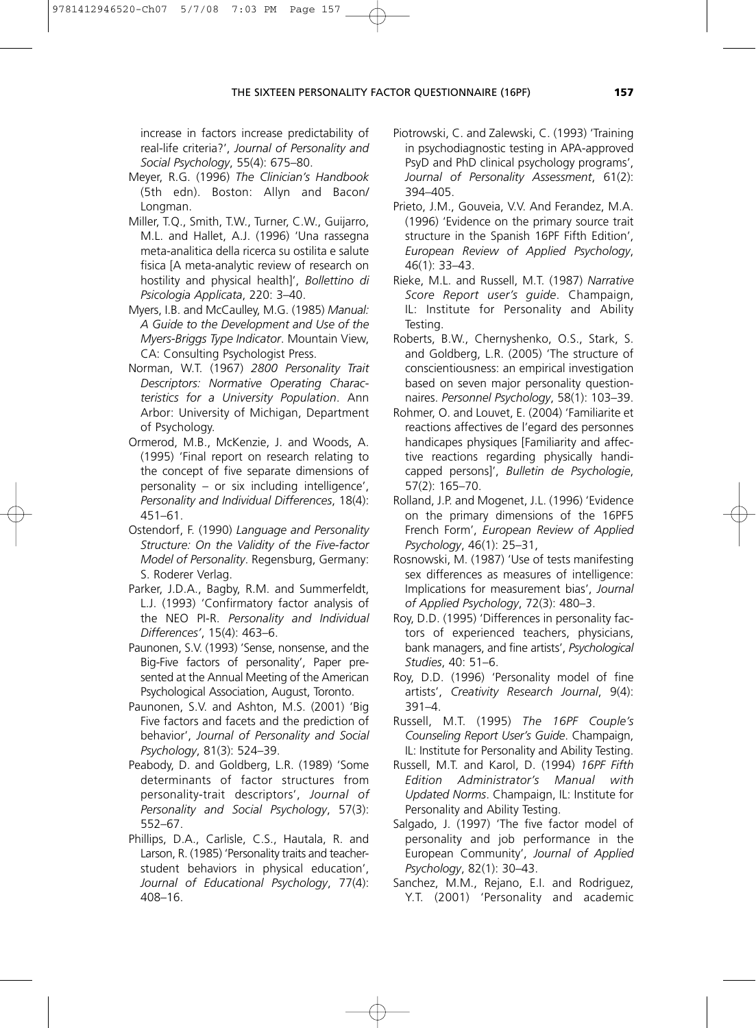increase in factors increase predictability of real-life criteria?', *Journal of Personality and Social Psychology*, 55(4): 675–80.

- Meyer, R.G. (1996) *The Clinician's Handbook* (5th edn). Boston: Allyn and Bacon/ Longman.
- Miller, T.Q., Smith, T.W., Turner, C.W., Guijarro, M.L. and Hallet, A.J. (1996) 'Una rassegna meta-analitica della ricerca su ostilita e salute fisica [A meta-analytic review of research on hostility and physical health]', *Bollettino di Psicologia Applicata*, 220: 3–40.
- Myers, I.B. and McCaulley, M.G. (1985) *Manual: A Guide to the Development and Use of the Myers-Briggs Type Indicator*. Mountain View, CA: Consulting Psychologist Press.
- Norman, W.T. (1967) *2800 Personality Trait Descriptors: Normative Operating Characteristics for a University Population*. Ann Arbor: University of Michigan, Department of Psychology.
- Ormerod, M.B., McKenzie, J. and Woods, A. (1995) 'Final report on research relating to the concept of five separate dimensions of personality – or six including intelligence', *Personality and Individual Differences*, 18(4): 451–61.
- Ostendorf, F. (1990) *Language and Personality Structure: On the Validity of the Five-factor Model of Personality*. Regensburg, Germany: S. Roderer Verlag.
- Parker, J.D.A., Bagby, R.M. and Summerfeldt, L.J. (1993) 'Confirmatory factor analysis of the NEO PI-R. *Personality and Individual Differences'*, 15(4): 463–6.
- Paunonen, S.V. (1993) 'Sense, nonsense, and the Big-Five factors of personality', Paper presented at the Annual Meeting of the American Psychological Association, August, Toronto.
- Paunonen, S.V. and Ashton, M.S. (2001) 'Big Five factors and facets and the prediction of behavior', *Journal of Personality and Social Psychology*, 81(3): 524–39.
- Peabody, D. and Goldberg, L.R. (1989) 'Some determinants of factor structures from personality-trait descriptors', *Journal of Personality and Social Psychology*, 57(3): 552–67.
- Phillips, D.A., Carlisle, C.S., Hautala, R. and Larson, R. (1985) 'Personality traits and teacherstudent behaviors in physical education', *Journal of Educational Psychology*, 77(4): 408–16.
- Piotrowski, C. and Zalewski, C. (1993) 'Training in psychodiagnostic testing in APA-approved PsyD and PhD clinical psychology programs', *Journal of Personality Assessment*, 61(2): 394–405.
- Prieto, J.M., Gouveia, V.V. And Ferandez, M.A. (1996) 'Evidence on the primary source trait structure in the Spanish 16PF Fifth Edition', *European Review of Applied Psychology*, 46(1): 33–43.
- Rieke, M.L. and Russell, M.T. (1987) *Narrative Score Report user's guide*. Champaign, IL: Institute for Personality and Ability Testing.
- Roberts, B.W., Chernyshenko, O.S., Stark, S. and Goldberg, L.R. (2005) 'The structure of conscientiousness: an empirical investigation based on seven major personality questionnaires. *Personnel Psychology*, 58(1): 103–39.
- Rohmer, O. and Louvet, E. (2004) 'Familiarite et reactions affectives de l'egard des personnes handicapes physiques [Familiarity and affective reactions regarding physically handicapped persons]', *Bulletin de Psychologie*, 57(2): 165–70.
- Rolland, J.P. and Mogenet, J.L. (1996) 'Evidence on the primary dimensions of the 16PF5 French Form', *European Review of Applied Psychology*, 46(1): 25–31,
- Rosnowski, M. (1987) 'Use of tests manifesting sex differences as measures of intelligence: Implications for measurement bias', *Journal of Applied Psychology*, 72(3): 480–3.
- Roy, D.D. (1995) 'Differences in personality factors of experienced teachers, physicians, bank managers, and fine artists', *Psychological Studies*, 40: 51–6.
- Roy, D.D. (1996) 'Personality model of fine artists', *Creativity Research Journal*, 9(4): 391–4.
- Russell, M.T. (1995) *The 16PF Couple's Counseling Report User's Guide*. Champaign, IL: Institute for Personality and Ability Testing.
- Russell, M.T. and Karol, D. (1994) *16PF Fifth Edition Administrator's Manual with Updated Norms*. Champaign, IL: Institute for Personality and Ability Testing.
- Salgado, J. (1997) 'The five factor model of personality and job performance in the European Community', *Journal of Applied Psychology*, 82(1): 30–43.
- Sanchez, M.M., Rejano, E.I. and Rodriguez, Y.T. (2001) 'Personality and academic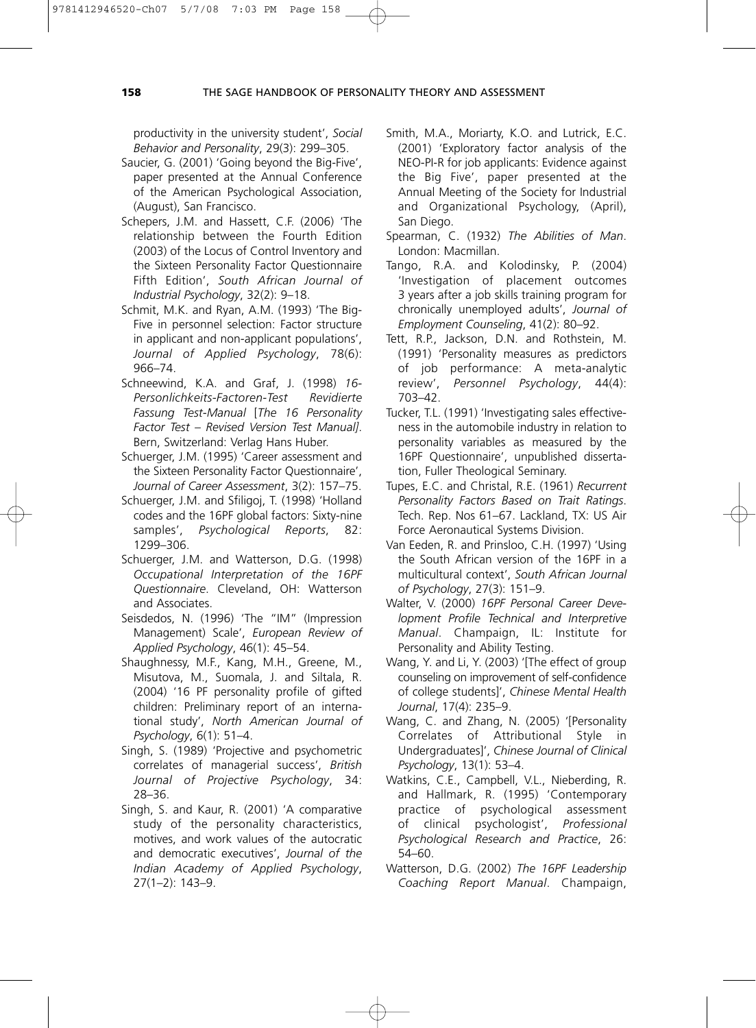productivity in the university student', *Social Behavior and Personality*, 29(3): 299–305.

- Saucier, G. (2001) 'Going beyond the Big-Five', paper presented at the Annual Conference of the American Psychological Association, (August), San Francisco.
- Schepers, J.M. and Hassett, C.F. (2006) 'The relationship between the Fourth Edition (2003) of the Locus of Control Inventory and the Sixteen Personality Factor Questionnaire Fifth Edition', *South African Journal of Industrial Psychology*, 32(2): 9–18.
- Schmit, M.K. and Ryan, A.M. (1993) 'The Big-Five in personnel selection: Factor structure in applicant and non-applicant populations', *Journal of Applied Psychology*, 78(6): 966–74.
- Schneewind, K.A. and Graf, J. (1998) *16- Personlichkeits-Factoren-Test Revidierte Fassung Test-Manual* [*The 16 Personality Factor Test – Revised Version Test Manual]*. Bern, Switzerland: Verlag Hans Huber.
- Schuerger, J.M. (1995) 'Career assessment and the Sixteen Personality Factor Questionnaire', *Journal of Career Assessment*, 3(2): 157–75.
- Schuerger, J.M. and Sfiligoj, T. (1998) 'Holland codes and the 16PF global factors: Sixty-nine samples', *Psychological Reports*, 82: 1299–306.
- Schuerger, J.M. and Watterson, D.G. (1998) *Occupational Interpretation of the 16PF Questionnaire*. Cleveland, OH: Watterson and Associates.
- Seisdedos, N. (1996) 'The "IM" (Impression Management) Scale', *European Review of Applied Psychology*, 46(1): 45–54.
- Shaughnessy, M.F., Kang, M.H., Greene, M., Misutova, M., Suomala, J. and Siltala, R. (2004) '16 PF personality profile of gifted children: Preliminary report of an international study', *North American Journal of Psychology*, 6(1): 51–4.
- Singh, S. (1989) 'Projective and psychometric correlates of managerial success', *British Journal of Projective Psychology*, 34: 28–36.
- Singh, S. and Kaur, R. (2001) 'A comparative study of the personality characteristics, motives, and work values of the autocratic and democratic executives', *Journal of the Indian Academy of Applied Psychology*, 27(1–2): 143–9.
- Smith, M.A., Moriarty, K.O. and Lutrick, E.C. (2001) 'Exploratory factor analysis of the NEO-PI-R for job applicants: Evidence against the Big Five', paper presented at the Annual Meeting of the Society for Industrial and Organizational Psychology, (April), San Diego.
- Spearman, C. (1932) *The Abilities of Man*. London: Macmillan.
- Tango, R.A. and Kolodinsky, P. (2004) 'Investigation of placement outcomes 3 years after a job skills training program for chronically unemployed adults', *Journal of Employment Counseling*, 41(2): 80–92.
- Tett, R.P., Jackson, D.N. and Rothstein, M. (1991) 'Personality measures as predictors of job performance: A meta-analytic review', *Personnel Psychology*, 44(4): 703–42.
- Tucker, T.L. (1991) 'Investigating sales effectiveness in the automobile industry in relation to personality variables as measured by the 16PF Questionnaire', unpublished dissertation, Fuller Theological Seminary.
- Tupes, E.C. and Christal, R.E. (1961) *Recurrent Personality Factors Based on Trait Ratings*. Tech. Rep. Nos 61–67. Lackland, TX: US Air Force Aeronautical Systems Division.
- Van Eeden, R. and Prinsloo, C.H. (1997) 'Using the South African version of the 16PF in a multicultural context', *South African Journal of Psychology*, 27(3): 151–9.
- Walter, V. (2000) *16PF Personal Career Development Profile Technical and Interpretive Manual*. Champaign, IL: Institute for Personality and Ability Testing.
- Wang, Y. and Li, Y. (2003) '[The effect of group counseling on improvement of self-confidence of college students]', *Chinese Mental Health Journal*, 17(4): 235–9.
- Wang, C. and Zhang, N. (2005) '[Personality Correlates of Attributional Style in Undergraduates]', *Chinese Journal of Clinical Psychology*, 13(1): 53–4.
- Watkins, C.E., Campbell, V.L., Nieberding, R. and Hallmark, R. (1995) 'Contemporary practice of psychological assessment of clinical psychologist', *Professional Psychological Research and Practice*, 26: 54–60.
- Watterson, D.G. (2002) *The 16PF Leadership Coaching Report Manual*. Champaign,